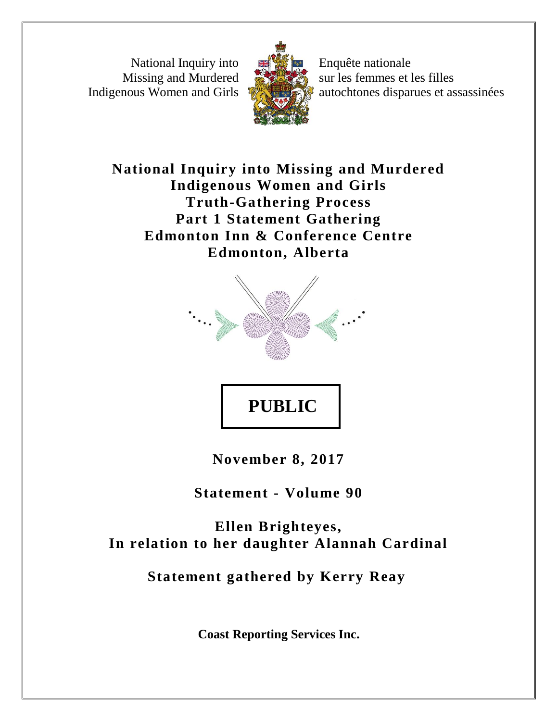National Inquiry into Missing and Murdered Indigenous Women and Girls



Enquête nationale sur les femmes et les filles autochtones disparues et assassinées

**National Inquiry into Missing and Murdered Indigenous Women and Girls Truth-Gathering Process Part 1 Statement Gathering Edmonton Inn & Conference Centre Edmonton, Alberta**



**PUBLIC** 

**November 8, 2017**

**Statement - Volume 90**

**Ellen Brighteyes, In relation to her daughter Alannah Cardinal**

**Statement gathered by Kerry Reay**

**Coast Reporting Services Inc.**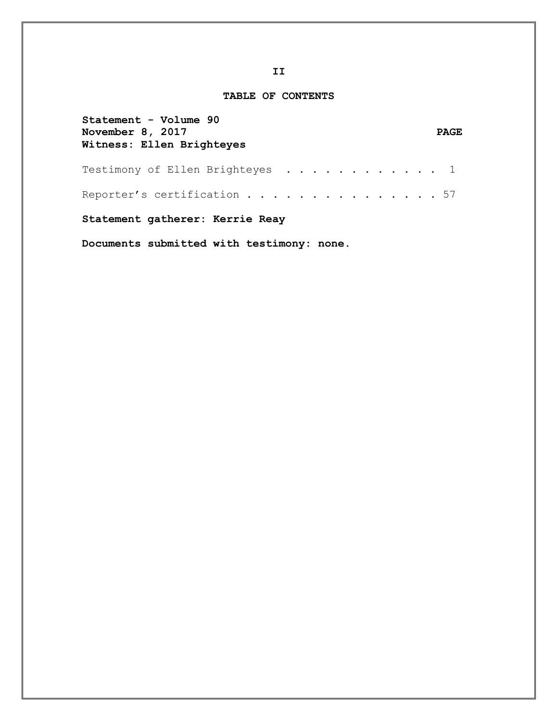## **TABLE OF CONTENTS**

| Statement - Volume 90<br>November 8, 2017<br>Witness: Ellen Brighteyes | <b>PAGE</b> |
|------------------------------------------------------------------------|-------------|
| Testimony of Ellen Brighteyes $\ldots \ldots \ldots \ldots \ldots$     |             |
| Reporter's certification 57                                            |             |
| Statement gatherer: Kerrie Reay                                        |             |

**Documents submitted with testimony: none.**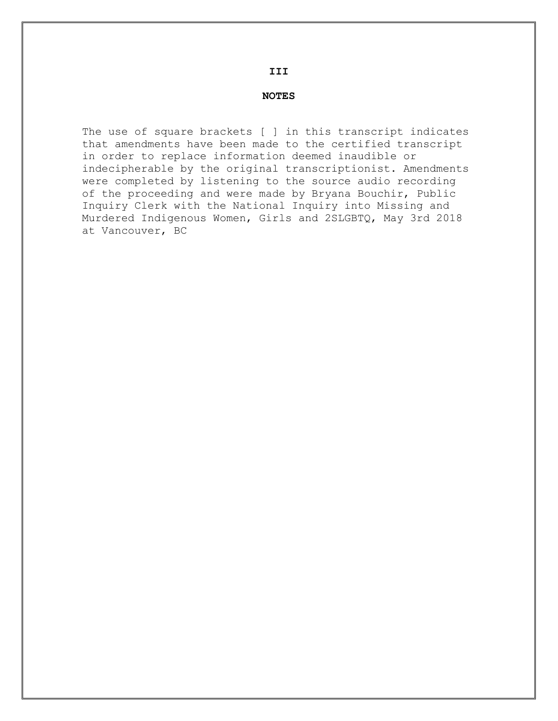## **III**

## **NOTES**

The use of square brackets [ ] in this transcript indicates that amendments have been made to the certified transcript in order to replace information deemed inaudible or indecipherable by the original transcriptionist. Amendments were completed by listening to the source audio recording of the proceeding and were made by Bryana Bouchir, Public Inquiry Clerk with the National Inquiry into Missing and Murdered Indigenous Women, Girls and 2SLGBTQ, May 3rd 2018 at Vancouver, BC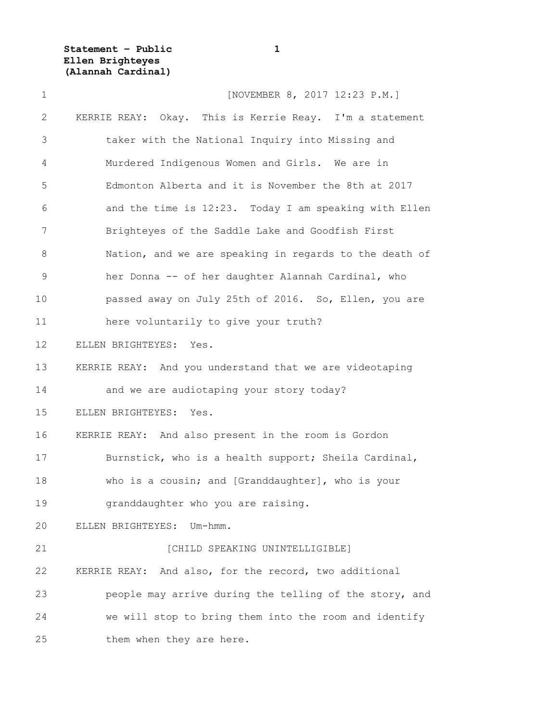**Statement – Public 1 Ellen Brighteyes (Alannah Cardinal)**

| $\mathbf 1$  | [NOVEMBER 8, 2017 12:23 P.M.]                           |
|--------------|---------------------------------------------------------|
| $\mathbf{2}$ | KERRIE REAY: Okay. This is Kerrie Reay. I'm a statement |
| 3            | taker with the National Inquiry into Missing and        |
| 4            | Murdered Indigenous Women and Girls. We are in          |
| 5            | Edmonton Alberta and it is November the 8th at 2017     |
| 6            | and the time is 12:23. Today I am speaking with Ellen   |
| 7            | Brighteyes of the Saddle Lake and Goodfish First        |
| 8            | Nation, and we are speaking in regards to the death of  |
| $\mathsf 9$  | her Donna -- of her daughter Alannah Cardinal, who      |
| 10           | passed away on July 25th of 2016. So, Ellen, you are    |
| 11           | here voluntarily to give your truth?                    |
| 12           | ELLEN BRIGHTEYES: Yes.                                  |
| 13           | KERRIE REAY: And you understand that we are videotaping |
| 14           | and we are audiotaping your story today?                |
| 15           | ELLEN BRIGHTEYES:<br>Yes.                               |
| 16           | KERRIE REAY: And also present in the room is Gordon     |
| 17           | Burnstick, who is a health support; Sheila Cardinal,    |
| 18           | who is a cousin; and [Granddaughter], who is your       |
| 19           | granddaughter who you are raising.                      |
| 20           | ELLEN BRIGHTEYES:<br>Um-hmm.                            |
| 21           | [CHILD SPEAKING UNINTELLIGIBLE]                         |
| 22           | KERRIE REAY: And also, for the record, two additional   |
| 23           | people may arrive during the telling of the story, and  |
| 24           | we will stop to bring them into the room and identify   |
| 25           | them when they are here.                                |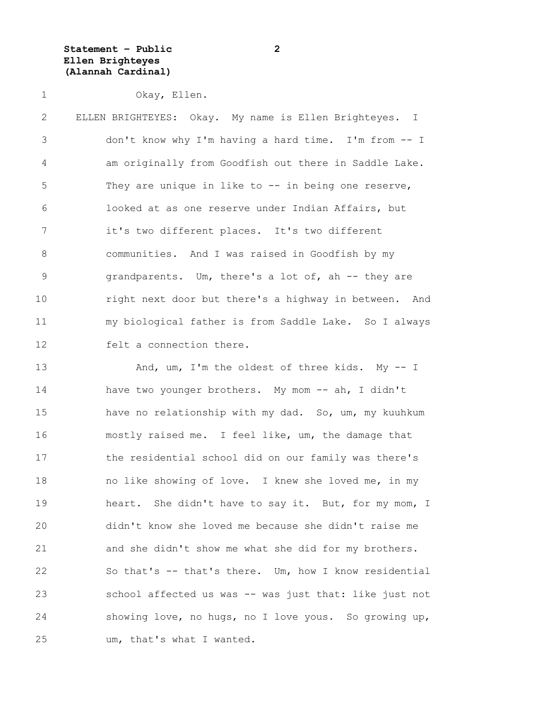**Statement – Public 2 Ellen Brighteyes (Alannah Cardinal)**

1 Okay, Ellen.

2 ELLEN BRIGHTEYES: Okay. My name is Ellen Brighteyes. I 3 don't know why I'm having a hard time. I'm from -- I 4 am originally from Goodfish out there in Saddle Lake. 5 They are unique in like to -- in being one reserve, 6 looked at as one reserve under Indian Affairs, but 7 it's two different places. It's two different 8 communities. And I was raised in Goodfish by my 9 grandparents. Um, there's a lot of, ah -- they are 10 right next door but there's a highway in between. And 11 my biological father is from Saddle Lake. So I always 12 felt a connection there.

13 And, um, I'm the oldest of three kids. My -- I 14 have two younger brothers. My mom -- ah, I didn't 15 have no relationship with my dad. So, um, my kuuhkum 16 mostly raised me. I feel like, um, the damage that 17 the residential school did on our family was there's 18 no like showing of love. I knew she loved me, in my 19 heart. She didn't have to say it. But, for my mom, I 20 didn't know she loved me because she didn't raise me 21 and she didn't show me what she did for my brothers. 22 So that's -- that's there. Um, how I know residential 23 school affected us was -- was just that: like just not 24 showing love, no hugs, no I love yous. So growing up, 25 um, that's what I wanted.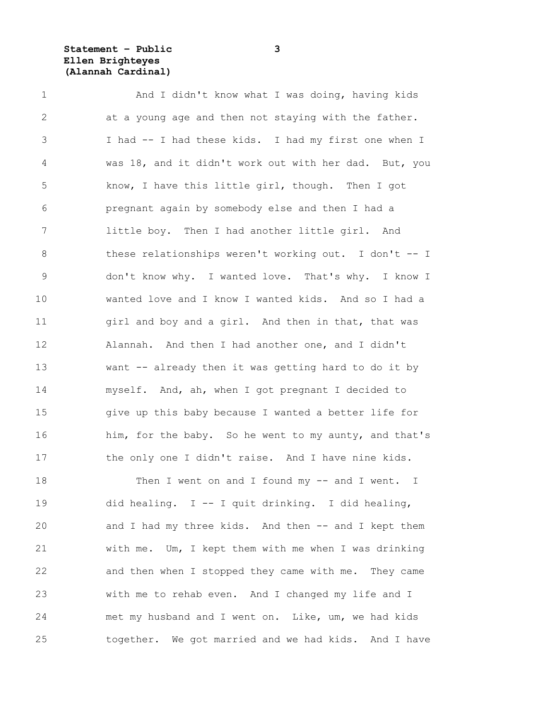**Statement – Public 3 Ellen Brighteyes (Alannah Cardinal)**

1 And I didn't know what I was doing, having kids 2 at a young age and then not staying with the father. 3 I had -- I had these kids. I had my first one when I 4 was 18, and it didn't work out with her dad. But, you 5 know, I have this little girl, though. Then I got 6 pregnant again by somebody else and then I had a 7 little boy. Then I had another little girl. And 8 these relationships weren't working out. I don't -- I 9 don't know why. I wanted love. That's why. I know I 10 wanted love and I know I wanted kids. And so I had a 11 girl and boy and a girl. And then in that, that was 12 Alannah. And then I had another one, and I didn't 13 want -- already then it was getting hard to do it by 14 myself. And, ah, when I got pregnant I decided to 15 give up this baby because I wanted a better life for 16 him, for the baby. So he went to my aunty, and that's 17 the only one I didn't raise. And I have nine kids.

18 Then I went on and I found my -- and I went. I 19 did healing. I -- I quit drinking. I did healing, 20 and I had my three kids. And then -- and I kept them 21 with me. Um, I kept them with me when I was drinking 22 and then when I stopped they came with me. They came 23 with me to rehab even. And I changed my life and I 24 met my husband and I went on. Like, um, we had kids 25 together. We got married and we had kids. And I have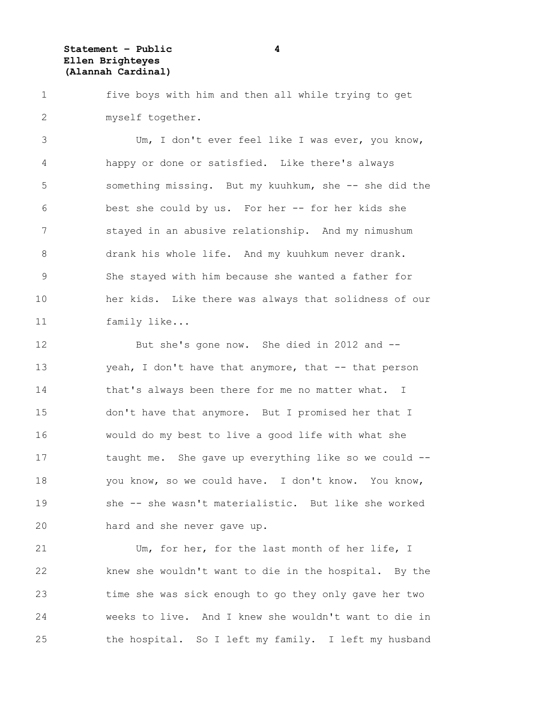**Statement – Public 4 Ellen Brighteyes (Alannah Cardinal)**

1 five boys with him and then all while trying to get 2 myself together.

3 Um, I don't ever feel like I was ever, you know, 4 happy or done or satisfied. Like there's always 5 something missing. But my kuuhkum, she -- she did the 6 best she could by us. For her -- for her kids she 7 stayed in an abusive relationship. And my nimushum 8 drank his whole life. And my kuuhkum never drank. 9 She stayed with him because she wanted a father for 10 her kids. Like there was always that solidness of our 11 family like...

12 But she's gone now. She died in 2012 and -- 13 yeah, I don't have that anymore, that -- that person 14 that's always been there for me no matter what. I 15 don't have that anymore. But I promised her that I 16 would do my best to live a good life with what she 17 taught me. She gave up everything like so we could -- 18 you know, so we could have. I don't know. You know, 19 she -- she wasn't materialistic. But like she worked 20 hard and she never gave up.

21 Um, for her, for the last month of her life, I 22 knew she wouldn't want to die in the hospital. By the 23 time she was sick enough to go they only gave her two 24 weeks to live. And I knew she wouldn't want to die in 25 the hospital. So I left my family. I left my husband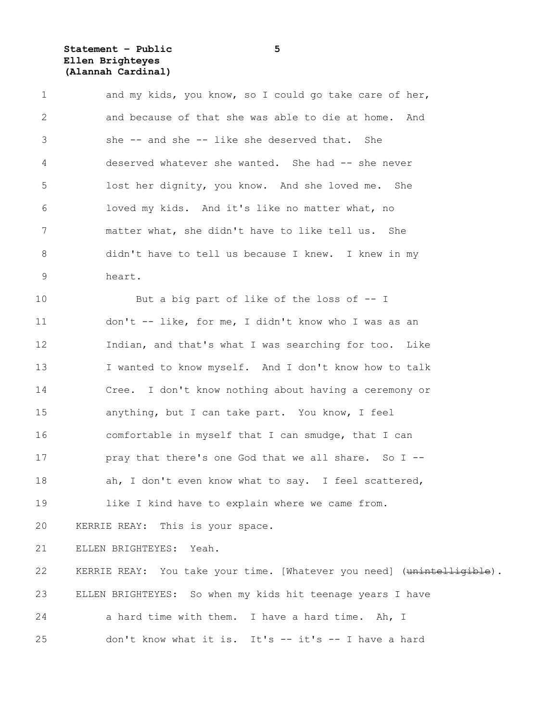## **Statement – Public 5 Ellen Brighteyes (Alannah Cardinal)**

| $\mathbf 1$    | and my kids, you know, so I could go take care of her,                 |
|----------------|------------------------------------------------------------------------|
| 2              | and because of that she was able to die at home. And                   |
| $\mathfrak{Z}$ | she -- and she -- like she deserved that. She                          |
| 4              | deserved whatever she wanted. She had -- she never                     |
| 5              | lost her dignity, you know. And she loved me. She                      |
| 6              | loved my kids. And it's like no matter what, no                        |
| 7              | matter what, she didn't have to like tell us. She                      |
| 8              | didn't have to tell us because I knew. I knew in my                    |
| $\mathsf 9$    | heart.                                                                 |
| 10             | But a big part of like of the loss of -- I                             |
| 11             | don't -- like, for me, I didn't know who I was as an                   |
| 12             | Indian, and that's what I was searching for too. Like                  |
| 13             | I wanted to know myself. And I don't know how to talk                  |
| 14             | Cree. I don't know nothing about having a ceremony or                  |
| 15             | anything, but I can take part. You know, I feel                        |
| 16             | comfortable in myself that I can smudge, that I can                    |
| 17             | pray that there's one God that we all share. So I --                   |
| 18             | ah, I don't even know what to say. I feel scattered,                   |
| 19             | like I kind have to explain where we came from.                        |
| 20             | KERRIE REAY: This is your space.                                       |
| 21             | ELLEN BRIGHTEYES: Yeah.                                                |
| 22             | KERRIE REAY: You take your time. [Whatever you need] (unintelligible). |
| 23             | ELLEN BRIGHTEYES: So when my kids hit teenage years I have             |
| 24             | a hard time with them. I have a hard time. Ah, I                       |
| 25             | don't know what it is. It's -- it's -- I have a hard                   |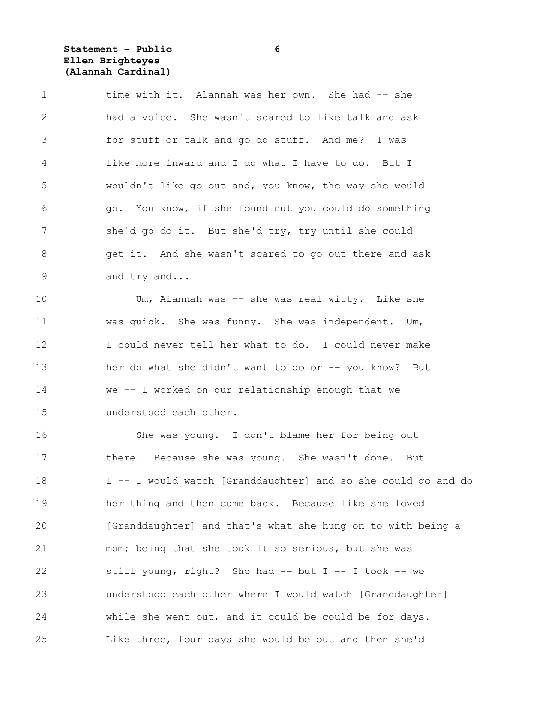**Statement – Public 6 Ellen Brighteyes (Alannah Cardinal)**

1 time with it. Alannah was her own. She had -- she 2 had a voice. She wasn't scared to like talk and ask 3 for stuff or talk and go do stuff. And me? I was 4 like more inward and I do what I have to do. But I 5 wouldn't like go out and, you know, the way she would 6 go. You know, if she found out you could do something 7 she'd go do it. But she'd try, try until she could 8 get it. And she wasn't scared to go out there and ask 9 and try and...

10 Um, Alannah was -- she was real witty. Like she 11 was quick. She was funny. She was independent. Um, 12 I could never tell her what to do. I could never make 13 her do what she didn't want to do or -- you know? But 14 we -- I worked on our relationship enough that we 15 understood each other.

16 She was young. I don't blame her for being out 17 there. Because she was young. She wasn't done. But 18 I -- I would watch [Granddaughter] and so she could go and do 19 her thing and then come back. Because like she loved 20 [Granddaughter] and that's what she hung on to with being a 21 mom; being that she took it so serious, but she was 22 still young, right? She had -- but I -- I took -- we 23 understood each other where I would watch [Granddaughter] 24 while she went out, and it could be could be for days. 25 Like three, four days she would be out and then she'd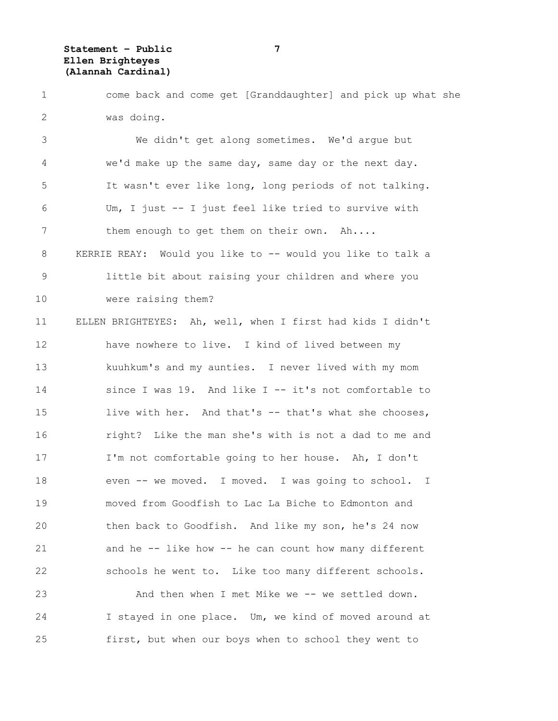**Statement – Public 7 Ellen Brighteyes (Alannah Cardinal)**

1 come back and come get [Granddaughter] and pick up what she 2 was doing.

3 We didn't get along sometimes. We'd argue but 4 we'd make up the same day, same day or the next day. 5 It wasn't ever like long, long periods of not talking. 6 Um, I just -- I just feel like tried to survive with 7 them enough to get them on their own. Ah.... 8 KERRIE REAY: Would you like to -- would you like to talk a 9 little bit about raising your children and where you 10 were raising them? 11 ELLEN BRIGHTEYES: Ah, well, when I first had kids I didn't 12 have nowhere to live. I kind of lived between my 13 kuuhkum's and my aunties. I never lived with my mom 14 since I was 19. And like I -- it's not comfortable to 15 live with her. And that's -- that's what she chooses, 16 right? Like the man she's with is not a dad to me and 17 I'm not comfortable going to her house. Ah, I don't 18 even -- we moved. I moved. I was going to school. I 19 moved from Goodfish to Lac La Biche to Edmonton and 20 then back to Goodfish. And like my son, he's 24 now 21 and he -- like how -- he can count how many different 22 schools he went to. Like too many different schools.

23 And then when I met Mike we -- we settled down. 24 I stayed in one place. Um, we kind of moved around at 25 first, but when our boys when to school they went to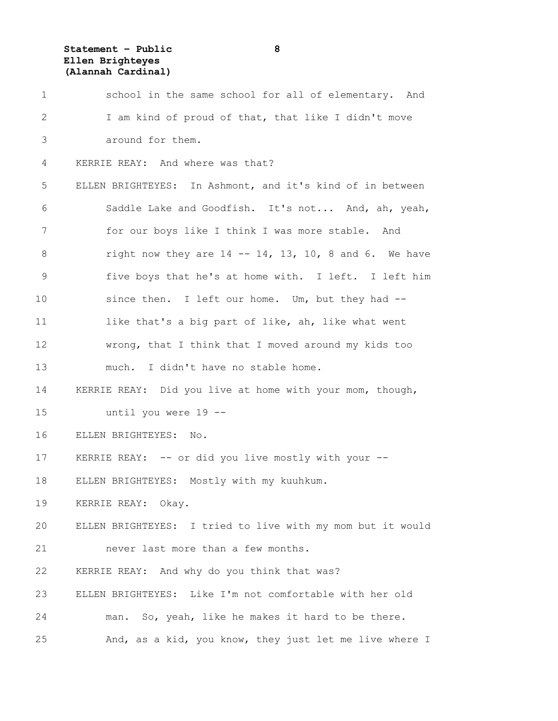**Statement – Public 8 Ellen Brighteyes (Alannah Cardinal)**

| $\mathbf 1$ | school in the same school for all of elementary. And             |
|-------------|------------------------------------------------------------------|
| 2           | I am kind of proud of that, that like I didn't move              |
| 3           | around for them.                                                 |
| 4           | KERRIE REAY: And where was that?                                 |
| 5           | ELLEN BRIGHTEYES: In Ashmont, and it's kind of in between        |
| 6           | Saddle Lake and Goodfish. It's not And, ah, yeah,                |
| 7           | for our boys like I think I was more stable. And                 |
| $8\,$       | right now they are $14$ -- $14$ , $13$ , $10$ , 8 and 6. We have |
| $\mathsf 9$ | five boys that he's at home with. I left. I left him             |
| 10          | since then. I left our home. Um, but they had --                 |
| 11          | like that's a big part of like, ah, like what went               |
| 12          | wrong, that I think that I moved around my kids too              |
| 13          | much. I didn't have no stable home.                              |
| 14          | KERRIE REAY: Did you live at home with your mom, though,         |
| 15          | until you were 19 --                                             |
| 16          | ELLEN BRIGHTEYES: No.                                            |
| 17          | KERRIE REAY: -- or did you live mostly with your --              |
| 18          | ELLEN BRIGHTEYES: Mostly with my kuuhkum.                        |
| 19          | KERRIE REAY: Okay.                                               |
| 20          | ELLEN BRIGHTEYES: I tried to live with my mom but it would       |
| 21          | never last more than a few months.                               |
| 22          | KERRIE REAY: And why do you think that was?                      |
| 23          | ELLEN BRIGHTEYES: Like I'm not comfortable with her old          |
| 24          | man. So, yeah, like he makes it hard to be there.                |
| 25          | And, as a kid, you know, they just let me live where I           |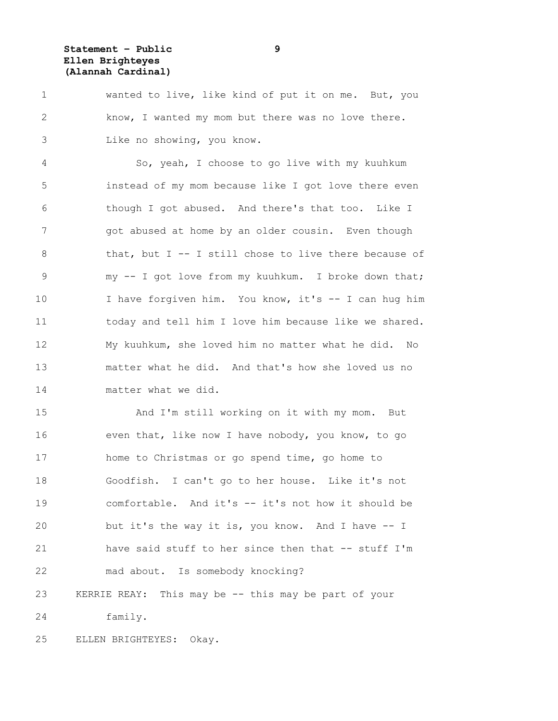**Statement – Public 9 Ellen Brighteyes (Alannah Cardinal)**

1 wanted to live, like kind of put it on me. But, you 2 know, I wanted my mom but there was no love there. 3 Like no showing, you know.

4 So, yeah, I choose to go live with my kuuhkum 5 instead of my mom because like I got love there even 6 though I got abused. And there's that too. Like I 7 and pot abused at home by an older cousin. Even though 8 that, but I -- I still chose to live there because of 9 my -- I got love from my kuuhkum. I broke down that; 10 I have forgiven him. You know, it's -- I can hug him 11 today and tell him I love him because like we shared. 12 My kuuhkum, she loved him no matter what he did. No 13 matter what he did. And that's how she loved us no 14 matter what we did.

15 And I'm still working on it with my mom. But 16 even that, like now I have nobody, you know, to go 17 home to Christmas or go spend time, go home to 18 Goodfish. I can't go to her house. Like it's not 19 comfortable. And it's -- it's not how it should be 20 but it's the way it is, you know. And I have -- I 21 have said stuff to her since then that -- stuff I'm 22 mad about. Is somebody knocking? 23 KERRIE REAY: This may be -- this may be part of your 24 family.

25 ELLEN BRIGHTEYES: Okay.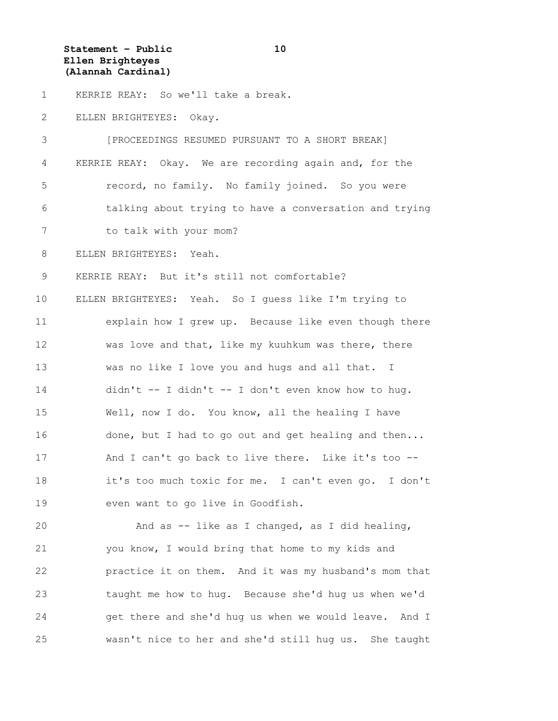**Statement – Public 10 Ellen Brighteyes (Alannah Cardinal)**

1 KERRIE REAY: So we'll take a break.

2 ELLEN BRIGHTEYES: Okay.

3 [PROCEEDINGS RESUMED PURSUANT TO A SHORT BREAK] 4 KERRIE REAY: Okay. We are recording again and, for the 5 record, no family. No family joined. So you were 6 talking about trying to have a conversation and trying 7 to talk with your mom? 8 ELLEN BRIGHTEYES: Yeah. 9 KERRIE REAY: But it's still not comfortable? 10 ELLEN BRIGHTEYES: Yeah. So I guess like I'm trying to 11 explain how I grew up. Because like even though there 12 was love and that, like my kuuhkum was there, there 13 was no like I love you and hugs and all that. I 14 didn't -- I didn't -- I don't even know how to hug. 15 Well, now I do. You know, all the healing I have 16 done, but I had to go out and get healing and then... 17 And I can't go back to live there. Like it's too --18 it's too much toxic for me. I can't even go. I don't 19 even want to go live in Goodfish.

20 And as -- like as I changed, as I did healing, 21 you know, I would bring that home to my kids and 22 practice it on them. And it was my husband's mom that 23 taught me how to hug. Because she'd hug us when we'd 24 get there and she'd hug us when we would leave. And I 25 wasn't nice to her and she'd still hug us. She taught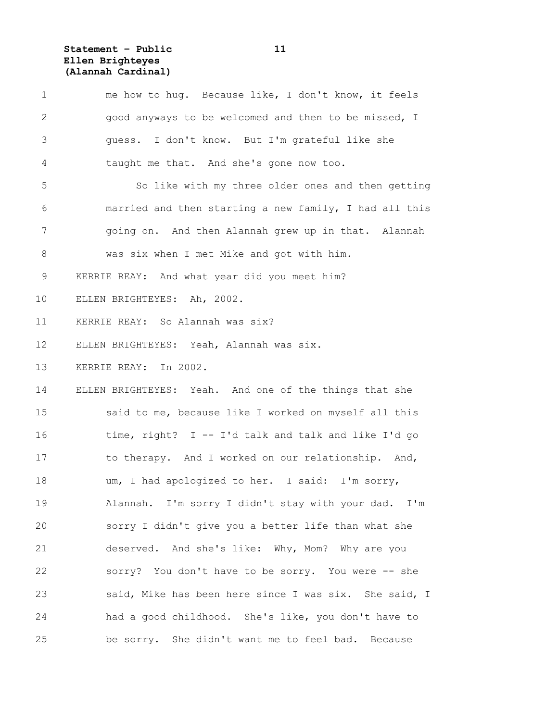**Statement – Public 11 Ellen Brighteyes (Alannah Cardinal)**

| $\mathbf 1$     | me how to hug. Because like, I don't know, it feels    |
|-----------------|--------------------------------------------------------|
| $\mathbf{2}$    | good anyways to be welcomed and then to be missed, I   |
| 3               | guess. I don't know. But I'm grateful like she         |
| 4               | taught me that. And she's gone now too.                |
| 5               | So like with my three older ones and then getting      |
| 6               | married and then starting a new family, I had all this |
| 7               | going on. And then Alannah grew up in that. Alannah    |
| 8               | was six when I met Mike and got with him.              |
| 9               | KERRIE REAY: And what year did you meet him?           |
| 10 <sub>o</sub> | ELLEN BRIGHTEYES: Ah, 2002.                            |
| 11              | KERRIE REAY: So Alannah was six?                       |
| 12              | ELLEN BRIGHTEYES: Yeah, Alannah was six.               |
| 13              | KERRIE REAY: In 2002.                                  |
| 14              | ELLEN BRIGHTEYES: Yeah. And one of the things that she |
| 15              | said to me, because like I worked on myself all this   |
| 16              | time, right? $I - I'd talk and talk and like I'd go$   |
| 17              | to therapy. And I worked on our relationship. And,     |
| 18              | um, I had apologized to her. I said: I'm sorry,        |
| 19              | Alannah. I'm sorry I didn't stay with your dad. I'm    |
| 20              | sorry I didn't give you a better life than what she    |
| 21              | deserved. And she's like: Why, Mom? Why are you        |
| 22              | sorry? You don't have to be sorry. You were -- she     |
| 23              | said, Mike has been here since I was six. She said, I  |
| 24              | had a good childhood. She's like, you don't have to    |
| 25              | be sorry. She didn't want me to feel bad. Because      |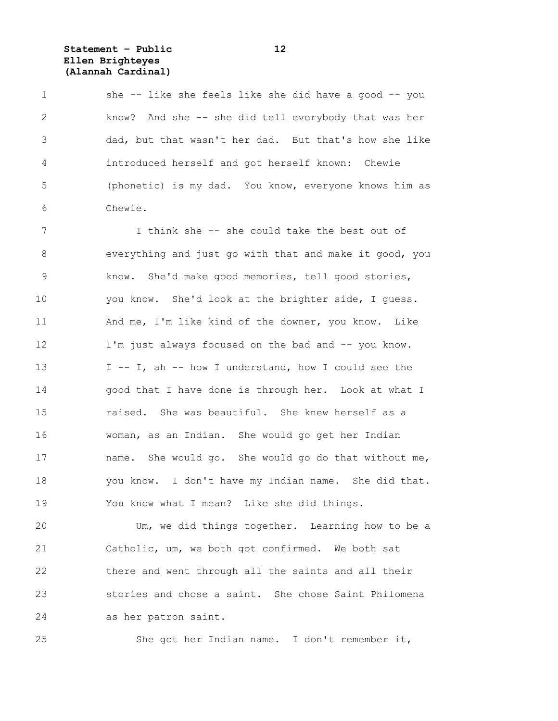**Statement – Public 12 Ellen Brighteyes (Alannah Cardinal)**

1 she -- like she feels like she did have a good -- you 2 know? And she -- she did tell everybody that was her 3 dad, but that wasn't her dad. But that's how she like 4 introduced herself and got herself known: Chewie 5 (phonetic) is my dad. You know, everyone knows him as 6 Chewie.

7 I think she -- she could take the best out of 8 everything and just go with that and make it good, you 9 know. She'd make good memories, tell good stories, 10 you know. She'd look at the brighter side, I guess. 11 And me, I'm like kind of the downer, you know. Like 12 I'm just always focused on the bad and -- you know. 13 I -- I, ah -- how I understand, how I could see the 14 good that I have done is through her. Look at what I 15 raised. She was beautiful. She knew herself as a 16 woman, as an Indian. She would go get her Indian 17 name. She would go. She would go do that without me, 18 you know. I don't have my Indian name. She did that. 19 You know what I mean? Like she did things.

20 Um, we did things together. Learning how to be a 21 Catholic, um, we both got confirmed. We both sat 22 there and went through all the saints and all their 23 stories and chose a saint. She chose Saint Philomena 24 as her patron saint.

25 She got her Indian name. I don't remember it,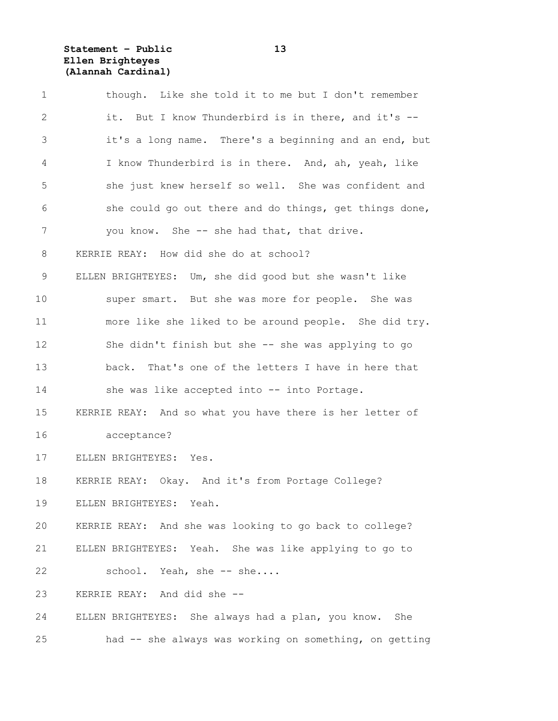**Statement – Public 13 Ellen Brighteyes (Alannah Cardinal)**

| $\mathbf 1$  | though. Like she told it to me but I don't remember      |
|--------------|----------------------------------------------------------|
| $\mathbf{2}$ | it. But I know Thunderbird is in there, and it's --      |
| 3            | it's a long name. There's a beginning and an end, but    |
| 4            | I know Thunderbird is in there. And, ah, yeah, like      |
| 5            | she just knew herself so well. She was confident and     |
| 6            | she could go out there and do things, get things done,   |
| 7            | you know. She -- she had that, that drive.               |
| 8            | KERRIE REAY: How did she do at school?                   |
| 9            | ELLEN BRIGHTEYES: Um, she did good but she wasn't like   |
| 10           | super smart. But she was more for people. She was        |
| 11           | more like she liked to be around people. She did try.    |
| 12           | She didn't finish but she -- she was applying to go      |
| 13           | back. That's one of the letters I have in here that      |
| 14           | she was like accepted into -- into Portage.              |
| 15           | KERRIE REAY: And so what you have there is her letter of |
| 16           | acceptance?                                              |
| 17           | ELLEN BRIGHTEYES: Yes.                                   |
| 18           | KERRIE REAY: Okay. And it's from Portage College?        |
| 19           | ELLEN BRIGHTEYES: Yeah.                                  |
| 20           | KERRIE REAY: And she was looking to go back to college?  |
| 21           | ELLEN BRIGHTEYES: Yeah. She was like applying to go to   |
| 22           | school. Yeah, she -- she                                 |
| 23           | KERRIE REAY: And did she --                              |
| 24           | ELLEN BRIGHTEYES: She always had a plan, you know. She   |
| 25           | had -- she always was working on something, on getting   |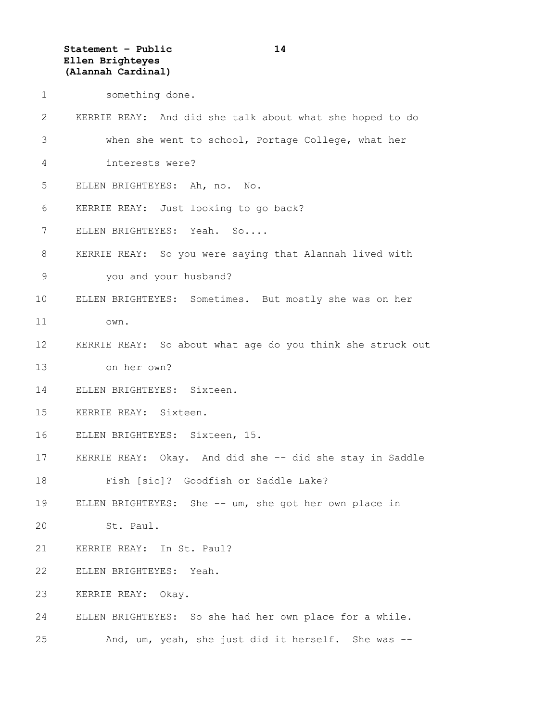**Statement – Public 14 Ellen Brighteyes (Alannah Cardinal)**

| something done. |  |
|-----------------|--|
|                 |  |

| 2               | KERRIE REAY: And did she talk about what she hoped to do   |
|-----------------|------------------------------------------------------------|
| 3               | when she went to school, Portage College, what her         |
| 4               | interests were?                                            |
| 5               | ELLEN BRIGHTEYES: Ah, no. No.                              |
| 6               | KERRIE REAY: Just looking to go back?                      |
| 7               | ELLEN BRIGHTEYES: Yeah. So                                 |
| 8               | KERRIE REAY: So you were saying that Alannah lived with    |
| 9               | you and your husband?                                      |
| 10              | ELLEN BRIGHTEYES: Sometimes. But mostly she was on her     |
| 11              | own.                                                       |
| 12 <sup>°</sup> | KERRIE REAY: So about what age do you think she struck out |
| 13              | on her own?                                                |
| 14              | ELLEN BRIGHTEYES: Sixteen.                                 |
| 15              | KERRIE REAY: Sixteen.                                      |
| 16              | ELLEN BRIGHTEYES: Sixteen, 15.                             |
| 17              | KERRIE REAY: Okay. And did she -- did she stay in Saddle   |
| 18              | Fish [sic]? Goodfish or Saddle Lake?                       |
| 19              | ELLEN BRIGHTEYES: She -- um, she got her own place in      |
| 20              | St. Paul.                                                  |
| 21              | KERRIE REAY: In St. Paul?                                  |
| 22              | ELLEN BRIGHTEYES:<br>Yeah.                                 |
| 23              | Okay.<br>KERRIE REAY:                                      |
| 24              | ELLEN BRIGHTEYES: So she had her own place for a while.    |
| 25              | And, um, yeah, she just did it herself. She was --         |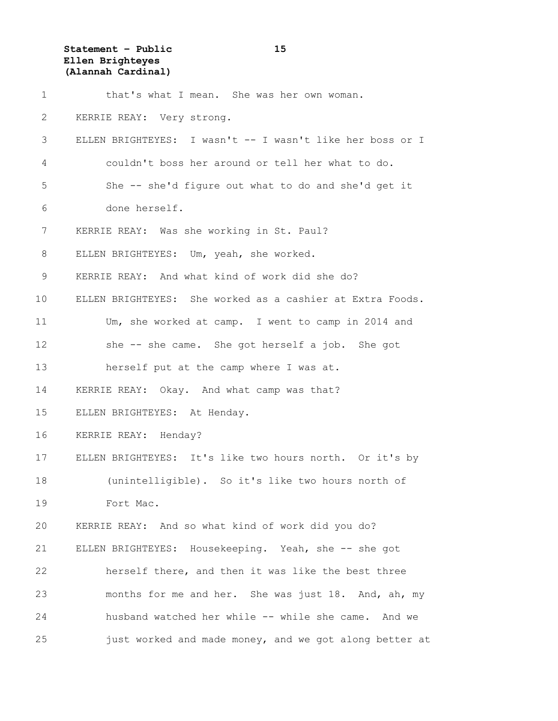**Statement – Public 15 Ellen Brighteyes (Alannah Cardinal)**

| $\mathbf 1$ | that's what I mean. She was her own woman.                |
|-------------|-----------------------------------------------------------|
| 2           | KERRIE REAY: Very strong.                                 |
| 3           | ELLEN BRIGHTEYES: I wasn't -- I wasn't like her boss or I |
| 4           | couldn't boss her around or tell her what to do.          |
| 5           | She -- she'd figure out what to do and she'd get it       |
| 6           | done herself.                                             |
| 7           | KERRIE REAY: Was she working in St. Paul?                 |
| 8           | ELLEN BRIGHTEYES: Um, yeah, she worked.                   |
| 9           | KERRIE REAY: And what kind of work did she do?            |
| 10          | ELLEN BRIGHTEYES: She worked as a cashier at Extra Foods. |
| 11          | Um, she worked at camp. I went to camp in 2014 and        |
| 12          | she -- she came. She got herself a job. She got           |
| 13          | herself put at the camp where I was at.                   |
| 14          | KERRIE REAY: Okay. And what camp was that?                |
| 15          | ELLEN BRIGHTEYES: At Henday.                              |
| 16          | KERRIE REAY: Henday?                                      |
| 17          | ELLEN BRIGHTEYES: It's like two hours north. Or it's by   |
| 18          | (unintelligible). So it's like two hours north of         |
| 19          | Fort Mac.                                                 |
| 20          | KERRIE REAY: And so what kind of work did you do?         |
| 21          | ELLEN BRIGHTEYES: Housekeeping. Yeah, she -- she got      |
| 22          | herself there, and then it was like the best three        |
| 23          | months for me and her. She was just 18. And, ah, my       |
| 24          | husband watched her while -- while she came. And we       |
| 25          | just worked and made money, and we got along better at    |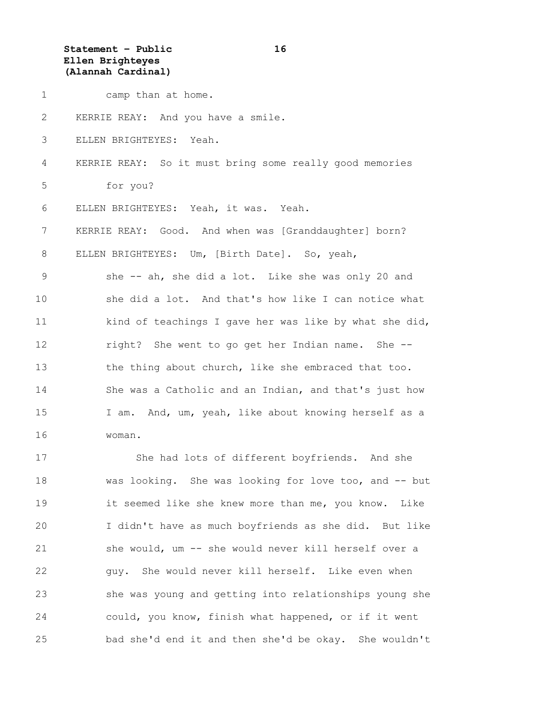**Statement – Public 16 Ellen Brighteyes (Alannah Cardinal)**

1 camp than at home. 2 KERRIE REAY: And you have a smile. 3 ELLEN BRIGHTEYES: Yeah. 4 KERRIE REAY: So it must bring some really good memories 5 for you? 6 ELLEN BRIGHTEYES: Yeah, it was. Yeah. 7 KERRIE REAY: Good. And when was [Granddaughter] born? 8 ELLEN BRIGHTEYES: Um, [Birth Date]. So, yeah, 9 she -- ah, she did a lot. Like she was only 20 and 10 she did a lot. And that's how like I can notice what 11 kind of teachings I gave her was like by what she did, 12 right? She went to go get her Indian name. She -- 13 the thing about church, like she embraced that too. 14 She was a Catholic and an Indian, and that's just how 15 I am. And, um, yeah, like about knowing herself as a 16 woman. 17 She had lots of different boyfriends. And she 18 was looking. She was looking for love too, and -- but 19 it seemed like she knew more than me, you know. Like 20 I didn't have as much boyfriends as she did. But like 21 she would, um -- she would never kill herself over a 22 guy. She would never kill herself. Like even when

23 she was young and getting into relationships young she 24 could, you know, finish what happened, or if it went 25 bad she'd end it and then she'd be okay. She wouldn't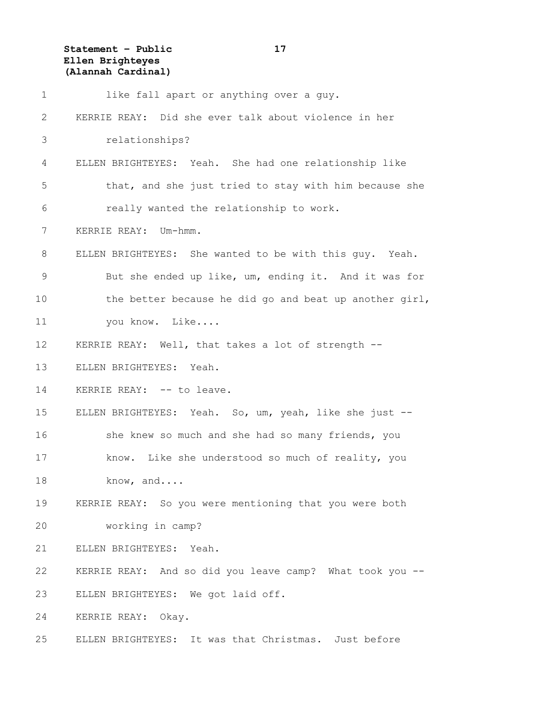**Statement – Public 17 Ellen Brighteyes (Alannah Cardinal)**

| $\mathbf 1$  | like fall apart or anything over a guy.                  |
|--------------|----------------------------------------------------------|
| $\mathbf{2}$ | KERRIE REAY: Did she ever talk about violence in her     |
| 3            | relationships?                                           |
| 4            | ELLEN BRIGHTEYES: Yeah. She had one relationship like    |
| 5            | that, and she just tried to stay with him because she    |
| 6            | really wanted the relationship to work.                  |
| 7            | KERRIE REAY: Um-hmm.                                     |
| 8            | ELLEN BRIGHTEYES: She wanted to be with this guy. Yeah.  |
| 9            | But she ended up like, um, ending it. And it was for     |
| 10           | the better because he did go and beat up another girl,   |
| 11           | you know. Like                                           |
| 12           | KERRIE REAY: Well, that takes a lot of strength --       |
| 13           | ELLEN BRIGHTEYES: Yeah.                                  |
| 14           | KERRIE REAY: -- to leave.                                |
| 15           | ELLEN BRIGHTEYES: Yeah. So, um, yeah, like she just --   |
| 16           | she knew so much and she had so many friends, you        |
| 17           | know. Like she understood so much of reality, you        |
| 18           | know, and                                                |
| 19           | KERRIE REAY: So you were mentioning that you were both   |
| 20           | working in camp?                                         |
| 21           | ELLEN BRIGHTEYES: Yeah.                                  |
| 22           | KERRIE REAY: And so did you leave camp? What took you -- |
| 23           | ELLEN BRIGHTEYES: We got laid off.                       |
| 24           | KERRIE REAY: Okay.                                       |
| 25           | ELLEN BRIGHTEYES: It was that Christmas. Just before     |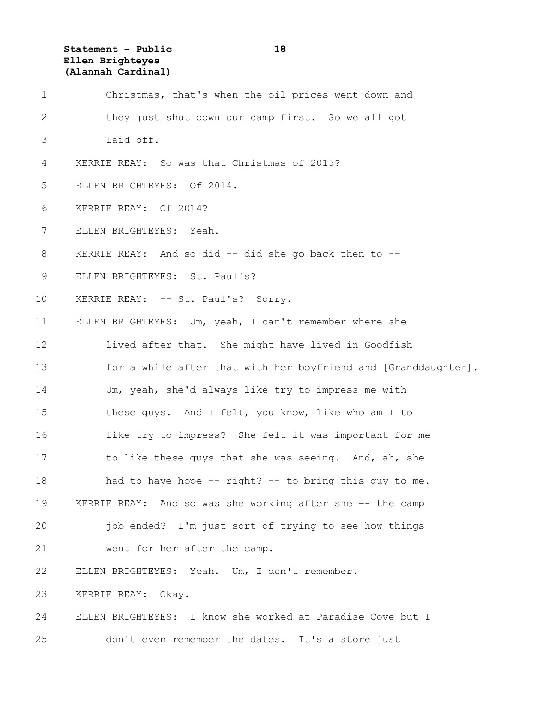**Statement – Public 18 Ellen Brighteyes (Alannah Cardinal)**

| 1  | Christmas, that's when the oil prices went down and            |
|----|----------------------------------------------------------------|
| 2  | they just shut down our camp first. So we all got              |
| 3  | laid off.                                                      |
| 4  | KERRIE REAY: So was that Christmas of 2015?                    |
| 5  | ELLEN BRIGHTEYES: Of 2014.                                     |
| 6  | KERRIE REAY: Of 2014?                                          |
| 7  | ELLEN BRIGHTEYES: Yeah.                                        |
| 8  | KERRIE REAY: And so did -- did she go back then to --          |
| 9  | ELLEN BRIGHTEYES: St. Paul's?                                  |
| 10 | KERRIE REAY: -- St. Paul's? Sorry.                             |
| 11 | ELLEN BRIGHTEYES: Um, yeah, I can't remember where she         |
| 12 | lived after that. She might have lived in Goodfish             |
| 13 | for a while after that with her boyfriend and [Granddaughter]. |
| 14 | Um, yeah, she'd always like try to impress me with             |
| 15 | these guys. And I felt, you know, like who am I to             |
| 16 | like try to impress? She felt it was important for me          |
| 17 | to like these guys that she was seeing. And, ah, she           |
| 18 | had to have hope -- right? -- to bring this guy to me.         |
| 19 | KERRIE REAY: And so was she working after she -- the camp      |
| 20 | job ended? I'm just sort of trying to see how things           |
| 21 | went for her after the camp.                                   |
| 22 | ELLEN BRIGHTEYES: Yeah. Um, I don't remember.                  |
| 23 | KERRIE REAY: Okay.                                             |
| 24 | ELLEN BRIGHTEYES: I know she worked at Paradise Cove but I     |
| 25 | don't even remember the dates. It's a store just               |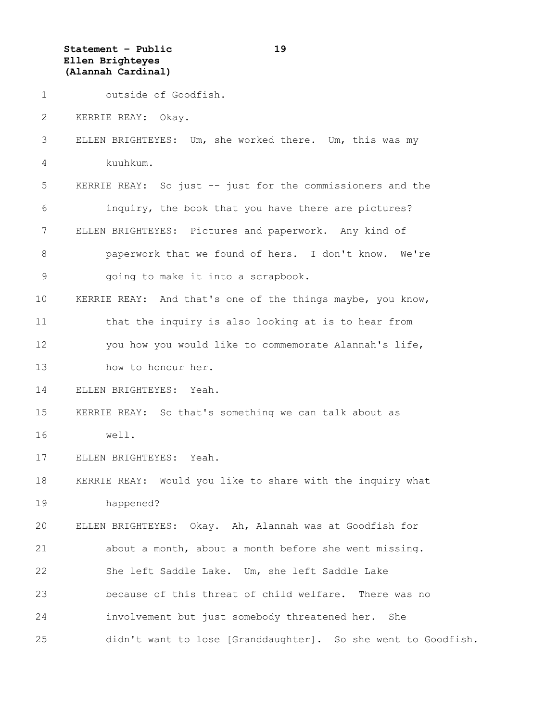**Statement – Public 19 Ellen Brighteyes (Alannah Cardinal)**

1 outside of Goodfish.

2 KERRIE REAY: Okay.

3 ELLEN BRIGHTEYES: Um, she worked there. Um, this was my 4 kuuhkum.

5 KERRIE REAY: So just -- just for the commissioners and the 6 inquiry, the book that you have there are pictures? 7 ELLEN BRIGHTEYES: Pictures and paperwork. Any kind of 8 paperwork that we found of hers. I don't know. We're 9 going to make it into a scrapbook.

10 KERRIE REAY: And that's one of the things maybe, you know, 11 that the inquiry is also looking at is to hear from 12 you how you would like to commemorate Alannah's life, 13 how to honour her.

14 ELLEN BRIGHTEYES: Yeah.

15 KERRIE REAY: So that's something we can talk about as 16 well.

17 ELLEN BRIGHTEYES: Yeah.

18 KERRIE REAY: Would you like to share with the inquiry what 19 happened?

20 ELLEN BRIGHTEYES: Okay. Ah, Alannah was at Goodfish for 21 about a month, about a month before she went missing. 22 She left Saddle Lake. Um, she left Saddle Lake 23 because of this threat of child welfare. There was no 24 involvement but just somebody threatened her. She

25 didn't want to lose [Granddaughter]. So she went to Goodfish.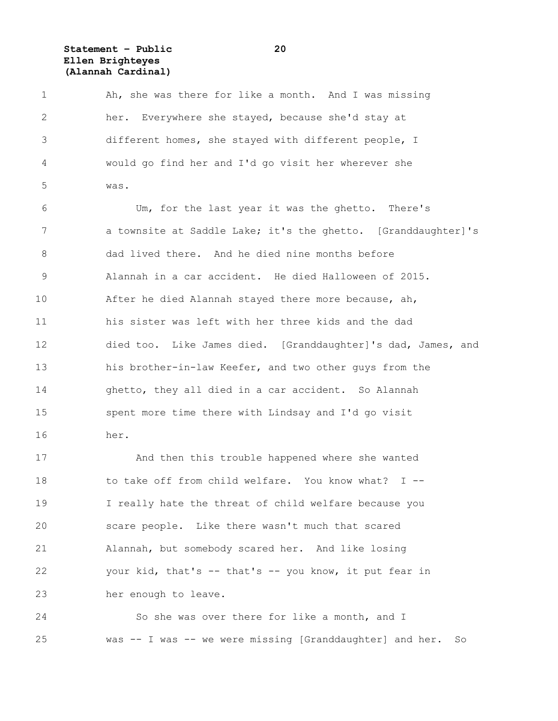**Statement – Public 20 Ellen Brighteyes (Alannah Cardinal)**

1 Ah, she was there for like a month. And I was missing 2 her. Everywhere she stayed, because she'd stay at 3 different homes, she stayed with different people, I 4 would go find her and I'd go visit her wherever she 5 was. 6 Um, for the last year it was the ghetto. There's

7 a townsite at Saddle Lake; it's the ghetto. [Granddaughter]'s 8 dad lived there. And he died nine months before 9 Alannah in a car accident. He died Halloween of 2015. 10 After he died Alannah stayed there more because, ah, 11 his sister was left with her three kids and the dad 12 died too. Like James died. [Granddaughter]'s dad, James, and 13 his brother-in-law Keefer, and two other guys from the 14 ghetto, they all died in a car accident. So Alannah 15 spent more time there with Lindsay and I'd go visit 16 her.

17 And then this trouble happened where she wanted 18 to take off from child welfare. You know what? I -- 19 I really hate the threat of child welfare because you 20 scare people. Like there wasn't much that scared 21 Alannah, but somebody scared her. And like losing 22 your kid, that's -- that's -- you know, it put fear in 23 her enough to leave.

24 So she was over there for like a month, and I 25 was -- I was -- we were missing [Granddaughter] and her. So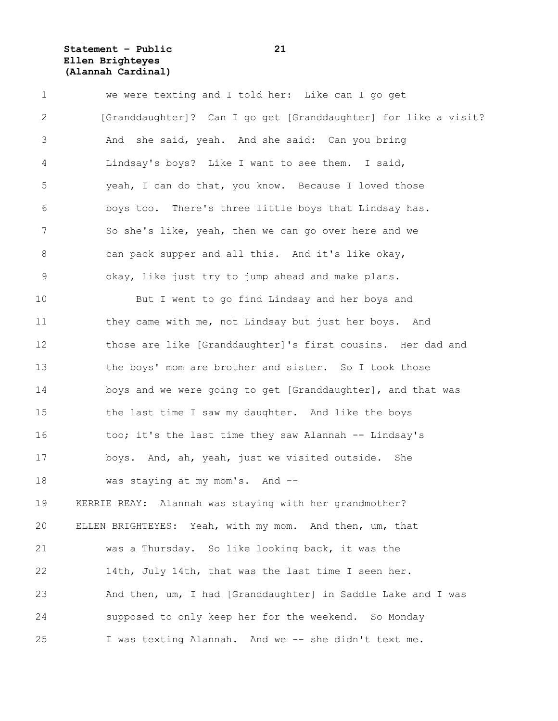**Statement – Public 21 Ellen Brighteyes (Alannah Cardinal)**

| $\mathbf 1$   | we were texting and I told her: Like can I go get               |
|---------------|-----------------------------------------------------------------|
| $\mathbf{2}$  | [Granddaughter]? Can I go get [Granddaughter] for like a visit? |
| 3             | And she said, yeah. And she said: Can you bring                 |
| 4             | Lindsay's boys? Like I want to see them. I said,                |
| 5             | yeah, I can do that, you know. Because I loved those            |
| 6             | boys too. There's three little boys that Lindsay has.           |
| 7             | So she's like, yeah, then we can go over here and we            |
| $8\,$         | can pack supper and all this. And it's like okay,               |
| $\mathcal{G}$ | okay, like just try to jump ahead and make plans.               |
| 10            | But I went to go find Lindsay and her boys and                  |
| 11            | they came with me, not Lindsay but just her boys. And           |
| 12            | those are like [Granddaughter]'s first cousins. Her dad and     |
| 13            | the boys' mom are brother and sister. So I took those           |
| 14            | boys and we were going to get [Granddaughter], and that was     |
| 15            | the last time I saw my daughter. And like the boys              |
| 16            | too; it's the last time they saw Alannah -- Lindsay's           |
| 17            | boys. And, ah, yeah, just we visited outside. She               |
| 18            | was staying at my mom's. And --                                 |
| 19            | KERRIE REAY: Alannah was staying with her grandmother?          |
| 20            | ELLEN BRIGHTEYES: Yeah, with my mom. And then, um, that         |
| 21            | was a Thursday. So like looking back, it was the                |
| 22            | 14th, July 14th, that was the last time I seen her.             |
| 23            | And then, um, I had [Granddaughter] in Saddle Lake and I was    |
| 24            | supposed to only keep her for the weekend. So Monday            |
| 25            | I was texting Alannah. And we -- she didn't text me.            |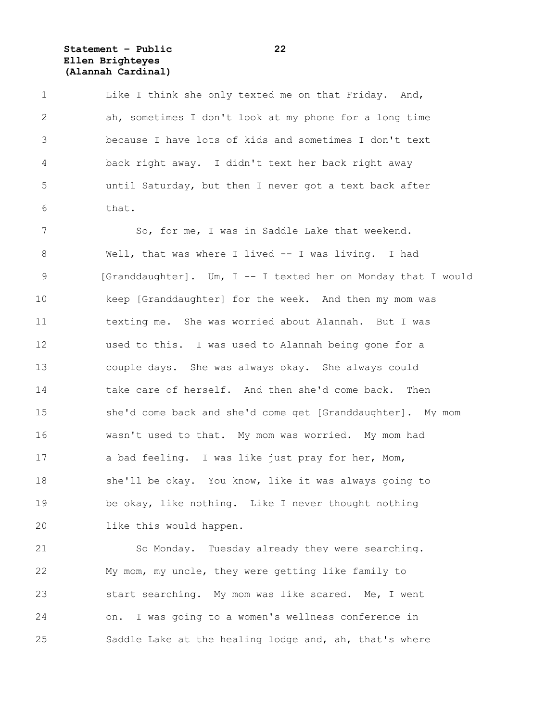**Statement – Public 22 Ellen Brighteyes (Alannah Cardinal)**

1 Like I think she only texted me on that Friday. And, 2 ah, sometimes I don't look at my phone for a long time 3 because I have lots of kids and sometimes I don't text 4 back right away. I didn't text her back right away 5 until Saturday, but then I never got a text back after 6 that.

7 So, for me, I was in Saddle Lake that weekend. 8 Well, that was where I lived -- I was living. I had 9 [Granddaughter]. Um, I -- I texted her on Monday that I would 10 keep [Granddaughter] for the week. And then my mom was 11 texting me. She was worried about Alannah. But I was 12 used to this. I was used to Alannah being gone for a 13 couple days. She was always okay. She always could 14 take care of herself. And then she'd come back. Then 15 she'd come back and she'd come get [Granddaughter]. My mom 16 wasn't used to that. My mom was worried. My mom had 17 a bad feeling. I was like just pray for her, Mom, 18 she'll be okay. You know, like it was always going to 19 be okay, like nothing. Like I never thought nothing 20 like this would happen.

21 So Monday. Tuesday already they were searching. 22 My mom, my uncle, they were getting like family to 23 start searching. My mom was like scared. Me, I went 24 on. I was going to a women's wellness conference in 25 Saddle Lake at the healing lodge and, ah, that's where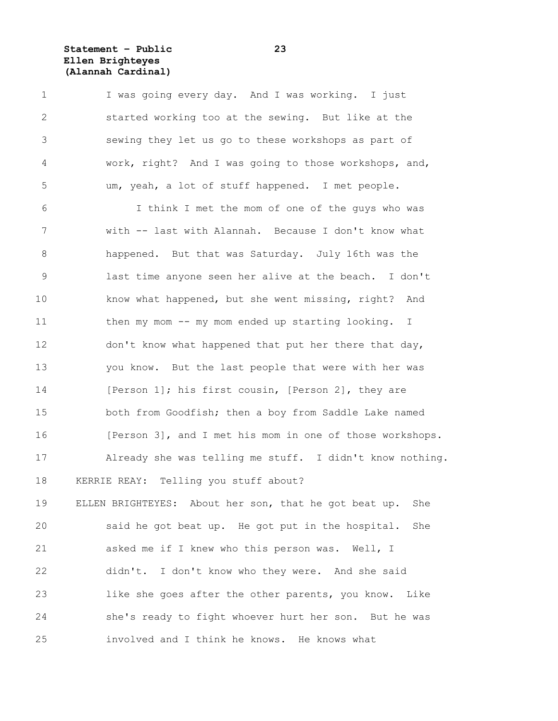**Statement – Public 23 Ellen Brighteyes (Alannah Cardinal)**

1 I was going every day. And I was working. I just 2 started working too at the sewing. But like at the 3 sewing they let us go to these workshops as part of 4 work, right? And I was going to those workshops, and, 5 um, yeah, a lot of stuff happened. I met people.

6 I think I met the mom of one of the guys who was 7 with -- last with Alannah. Because I don't know what 8 happened. But that was Saturday. July 16th was the 9 last time anyone seen her alive at the beach. I don't 10 know what happened, but she went missing, right? And 11 then my mom -- my mom ended up starting looking. I 12 don't know what happened that put her there that day, 13 you know. But the last people that were with her was 14 [Person 1]; his first cousin, [Person 2], they are 15 both from Goodfish; then a boy from Saddle Lake named 16 [Person 3], and I met his mom in one of those workshops. 17 Already she was telling me stuff. I didn't know nothing. 18 KERRIE REAY: Telling you stuff about?

19 ELLEN BRIGHTEYES: About her son, that he got beat up. She 20 said he got beat up. He got put in the hospital. She 21 asked me if I knew who this person was. Well, I 22 didn't. I don't know who they were. And she said 23 like she goes after the other parents, you know. Like 24 she's ready to fight whoever hurt her son. But he was 25 involved and I think he knows. He knows what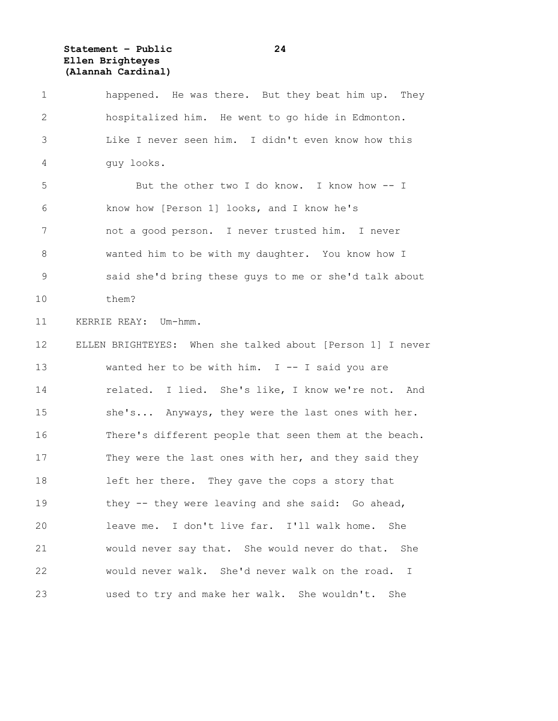**Statement – Public 24 Ellen Brighteyes (Alannah Cardinal)**

1 happened. He was there. But they beat him up. They 2 hospitalized him. He went to go hide in Edmonton. 3 Like I never seen him. I didn't even know how this 4 guy looks. 5 But the other two I do know. I know how -- I 6 know how [Person 1] looks, and I know he's 7 not a good person. I never trusted him. I never 8 wanted him to be with my daughter. You know how I 9 said she'd bring these guys to me or she'd talk about 10 them? 11 KERRIE REAY: Um-hmm. 12 ELLEN BRIGHTEYES: When she talked about [Person 1] I never 13 wanted her to be with him. I -- I said you are 14 related. I lied. She's like, I know we're not. And 15 she's... Anyways, they were the last ones with her. 16 There's different people that seen them at the beach. 17 They were the last ones with her, and they said they 18 left her there. They gave the cops a story that 19 they -- they were leaving and she said: Go ahead, 20 leave me. I don't live far. I'll walk home. She 21 would never say that. She would never do that. She 22 would never walk. She'd never walk on the road. I 23 used to try and make her walk. She wouldn't. She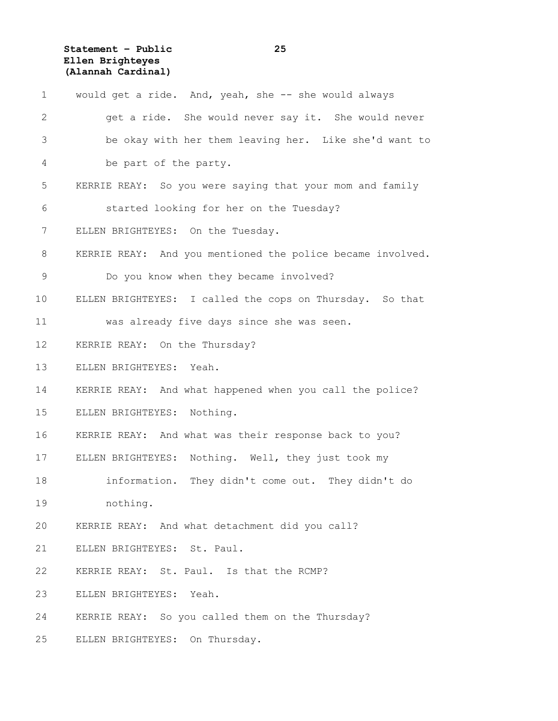**Statement – Public 25 Ellen Brighteyes (Alannah Cardinal)**

| $\mathbf 1$ | would get a ride. And, yeah, she -- she would always       |
|-------------|------------------------------------------------------------|
| 2           | get a ride. She would never say it. She would never        |
| 3           | be okay with her them leaving her. Like she'd want to      |
| 4           | be part of the party.                                      |
| 5           | KERRIE REAY: So you were saying that your mom and family   |
| 6           | started looking for her on the Tuesday?                    |
| 7           | ELLEN BRIGHTEYES: On the Tuesday.                          |
| $8\,$       | KERRIE REAY: And you mentioned the police became involved. |
| 9           | Do you know when they became involved?                     |
| 10          | ELLEN BRIGHTEYES: I called the cops on Thursday. So that   |
| 11          | was already five days since she was seen.                  |
| 12          | KERRIE REAY: On the Thursday?                              |
| 13          | ELLEN BRIGHTEYES: Yeah.                                    |
| 14          | KERRIE REAY: And what happened when you call the police?   |
| 15          | ELLEN BRIGHTEYES: Nothing.                                 |
| 16          | KERRIE REAY: And what was their response back to you?      |
| 17          | ELLEN BRIGHTEYES: Nothing. Well, they just took my         |
| 18          | information. They didn't come out. They didn't do          |
| 19          | nothing.                                                   |
| 20          | KERRIE REAY: And what detachment did you call?             |
| 21          | ELLEN BRIGHTEYES: St. Paul.                                |
| 22          | KERRIE REAY: St. Paul. Is that the RCMP?                   |
| 23          | ELLEN BRIGHTEYES: Yeah.                                    |
| 24          | KERRIE REAY: So you called them on the Thursday?           |
| 25          | ELLEN BRIGHTEYES: On Thursday.                             |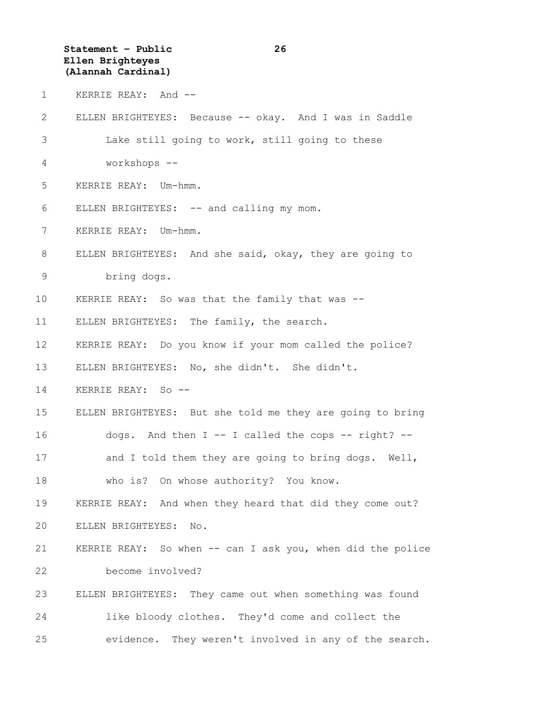**Statement – Public 26 Ellen Brighteyes (Alannah Cardinal)**

1 KERRIE REAY: And --

2 ELLEN BRIGHTEYES: Because -- okay. And I was in Saddle 3 Lake still going to work, still going to these 4 workshops -- 5 KERRIE REAY: Um-hmm. 6 ELLEN BRIGHTEYES: -- and calling my mom. 7 KERRIE REAY: Um-hmm. 8 ELLEN BRIGHTEYES: And she said, okay, they are going to 9 bring dogs. 10 KERRIE REAY: So was that the family that was -- 11 ELLEN BRIGHTEYES: The family, the search. 12 KERRIE REAY: Do you know if your mom called the police? 13 ELLEN BRIGHTEYES: No, she didn't. She didn't. 14 KERRIE REAY: So -- 15 ELLEN BRIGHTEYES: But she told me they are going to bring 16 dogs. And then I -- I called the cops -- right? -- 17 and I told them they are going to bring dogs. Well, 18 who is? On whose authority? You know. 19 KERRIE REAY: And when they heard that did they come out? 20 ELLEN BRIGHTEYES: No. 21 KERRIE REAY: So when -- can I ask you, when did the police 22 become involved? 23 ELLEN BRIGHTEYES: They came out when something was found 24 like bloody clothes. They'd come and collect the 25 evidence. They weren't involved in any of the search.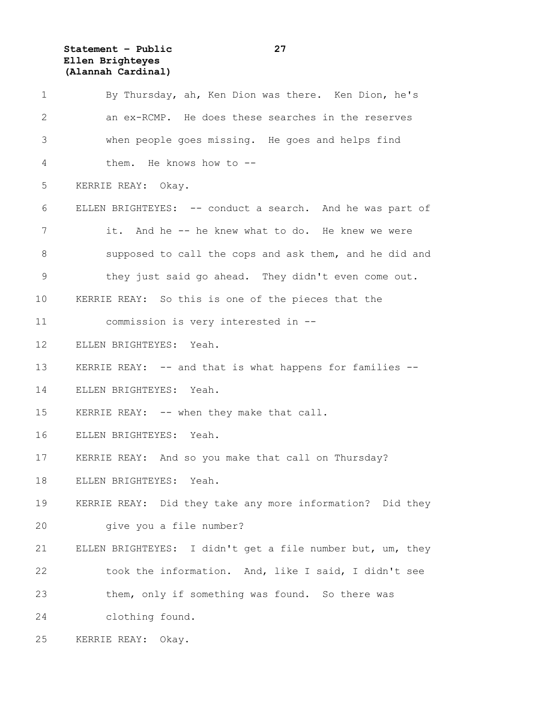**Statement – Public 27 Ellen Brighteyes (Alannah Cardinal)**

| $\mathbf 1$  | By Thursday, ah, Ken Dion was there. Ken Dion, he's        |
|--------------|------------------------------------------------------------|
| $\mathbf{2}$ | an ex-RCMP. He does these searches in the reserves         |
| 3            | when people goes missing. He goes and helps find           |
| 4            | them. He knows how to --                                   |
| 5            | KERRIE REAY: Okay.                                         |
| 6            | ELLEN BRIGHTEYES: -- conduct a search. And he was part of  |
| 7            | it. And he -- he knew what to do. He knew we were          |
| $8\,$        | supposed to call the cops and ask them, and he did and     |
| $\mathsf 9$  | they just said go ahead. They didn't even come out.        |
| 10           | KERRIE REAY: So this is one of the pieces that the         |
| 11           | commission is very interested in --                        |
| 12           | ELLEN BRIGHTEYES: Yeah.                                    |
| 13           | KERRIE REAY: -- and that is what happens for families --   |
| 14           | ELLEN BRIGHTEYES: Yeah.                                    |
| 15           | KERRIE REAY: -- when they make that call.                  |
| 16           | ELLEN BRIGHTEYES: Yeah.                                    |
| 17           | KERRIE REAY: And so you make that call on Thursday?        |
| 18           | ELLEN BRIGHTEYES:<br>Yeah.                                 |
| 19           | KERRIE REAY: Did they take any more information? Did they  |
| 20           | give you a file number?                                    |
| 21           | ELLEN BRIGHTEYES: I didn't get a file number but, um, they |
| 22           | took the information. And, like I said, I didn't see       |
| 23           | them, only if something was found. So there was            |
| 24           | clothing found.                                            |
| 25           | KERRIE REAY: Okay.                                         |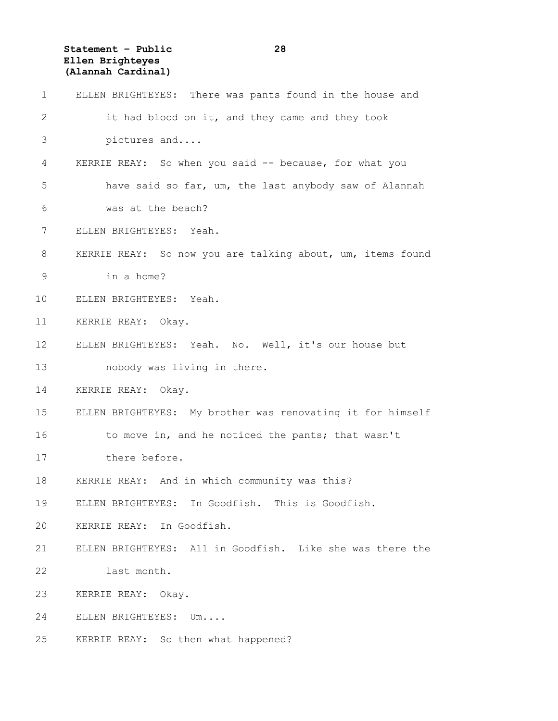**Statement – Public 28 Ellen Brighteyes (Alannah Cardinal)**

| $\mathbf 1$  | ELLEN BRIGHTEYES: There was pants found in the house and   |
|--------------|------------------------------------------------------------|
| $\mathbf{2}$ | it had blood on it, and they came and they took            |
| 3            | pictures and                                               |
| 4            | KERRIE REAY: So when you said -- because, for what you     |
| 5            | have said so far, um, the last anybody saw of Alannah      |
| 6            | was at the beach?                                          |
| 7            | ELLEN BRIGHTEYES: Yeah.                                    |
| 8            | KERRIE REAY: So now you are talking about, um, items found |
| $\mathsf 9$  | in a home?                                                 |
| 10           | ELLEN BRIGHTEYES: Yeah.                                    |
| 11           | KERRIE REAY: Okay.                                         |
| 12           | ELLEN BRIGHTEYES: Yeah. No. Well, it's our house but       |
| 13           | nobody was living in there.                                |
| 14           | KERRIE REAY: Okay.                                         |
| 15           | ELLEN BRIGHTEYES: My brother was renovating it for himself |
| 16           | to move in, and he noticed the pants; that wasn't          |
| 17           | there before.                                              |
| 18           | KERRIE REAY: And in which community was this?              |
| 19           | ELLEN BRIGHTEYES: In Goodfish. This is Goodfish.           |
| 20           | KERRIE REAY: In Goodfish.                                  |
| 21           | ELLEN BRIGHTEYES: All in Goodfish. Like she was there the  |
| 22           | last month.                                                |
| 23           | KERRIE REAY:<br>Okay.                                      |
| 24           | ELLEN BRIGHTEYES: Um                                       |
| 25           | KERRIE REAY: So then what happened?                        |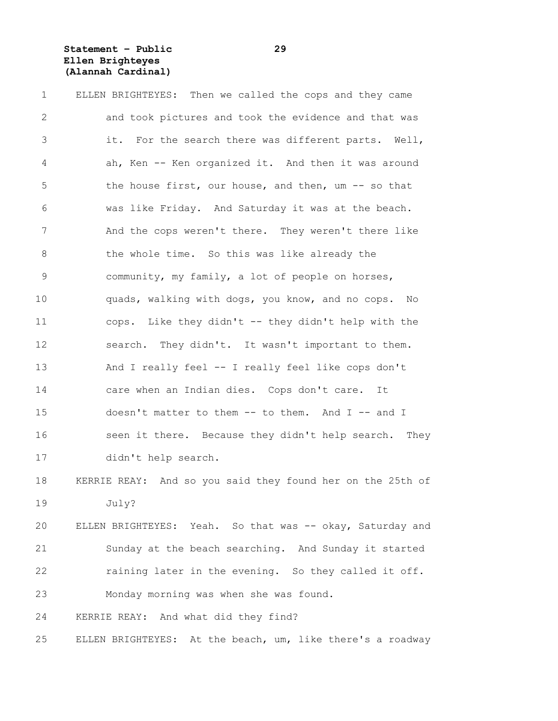**Statement – Public 29 Ellen Brighteyes (Alannah Cardinal)**

| $\mathbf 1$    | ELLEN BRIGHTEYES: Then we called the cops and they came    |
|----------------|------------------------------------------------------------|
| $\mathbf{2}$   | and took pictures and took the evidence and that was       |
| $\mathfrak{Z}$ | it. For the search there was different parts. Well,        |
| 4              | ah, Ken -- Ken organized it. And then it was around        |
| 5              | the house first, our house, and then, um -- so that        |
| 6              | was like Friday. And Saturday it was at the beach.         |
| 7              | And the cops weren't there. They weren't there like        |
| 8              | the whole time. So this was like already the               |
| 9              | community, my family, a lot of people on horses,           |
| 10             | quads, walking with dogs, you know, and no cops. No        |
| 11             | cops. Like they didn't -- they didn't help with the        |
| 12             | search. They didn't. It wasn't important to them.          |
| 13             | And I really feel -- I really feel like cops don't         |
| 14             | care when an Indian dies. Cops don't care.<br>It           |
| 15             | doesn't matter to them -- to them. And I -- and I          |
| 16             | seen it there. Because they didn't help search. They       |
| 17             | didn't help search.                                        |
| 18             | KERRIE REAY: And so you said they found her on the 25th of |
| 19             | July?                                                      |
| 20             | ELLEN BRIGHTEYES: Yeah. So that was -- okay, Saturday and  |
| 21             | Sunday at the beach searching. And Sunday it started       |
| 22             | raining later in the evening. So they called it off.       |
| 23             | Monday morning was when she was found.                     |
| 24             | KERRIE REAY: And what did they find?                       |
| 25             | ELLEN BRIGHTEYES: At the beach, um, like there's a roadway |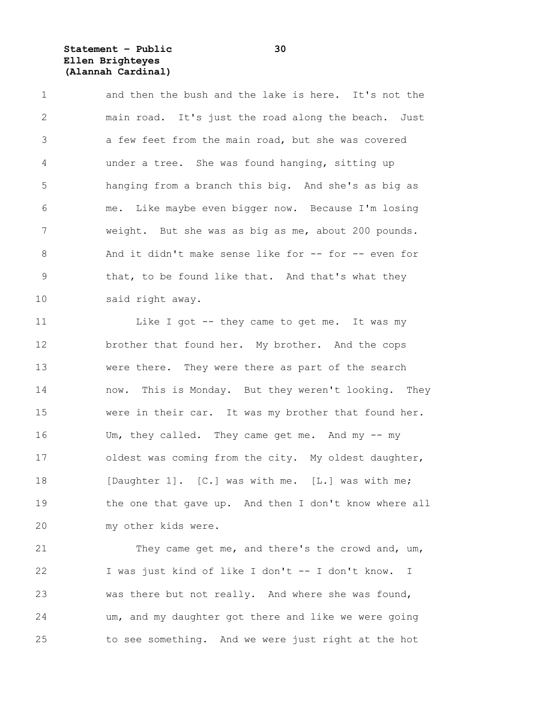**Statement – Public 30 Ellen Brighteyes (Alannah Cardinal)**

1 and then the bush and the lake is here. It's not the 2 main road. It's just the road along the beach. Just 3 a few feet from the main road, but she was covered 4 under a tree. She was found hanging, sitting up 5 hanging from a branch this big. And she's as big as 6 me. Like maybe even bigger now. Because I'm losing 7 weight. But she was as big as me, about 200 pounds. 8 And it didn't make sense like for -- for -- even for 9 that, to be found like that. And that's what they 10 said right away.

11 Like I got -- they came to get me. It was my 12 brother that found her. My brother. And the cops 13 were there. They were there as part of the search 14 now. This is Monday. But they weren't looking. They 15 were in their car. It was my brother that found her. 16 Um, they called. They came get me. And my -- my 17 oldest was coming from the city. My oldest daughter, 18 [Daughter 1]. [C.] was with me. [L.] was with me; 19 the one that gave up. And then I don't know where all 20 my other kids were.

21 They came get me, and there's the crowd and, um, 22 I was just kind of like I don't -- I don't know. I 23 was there but not really. And where she was found, 24 um, and my daughter got there and like we were going 25 to see something. And we were just right at the hot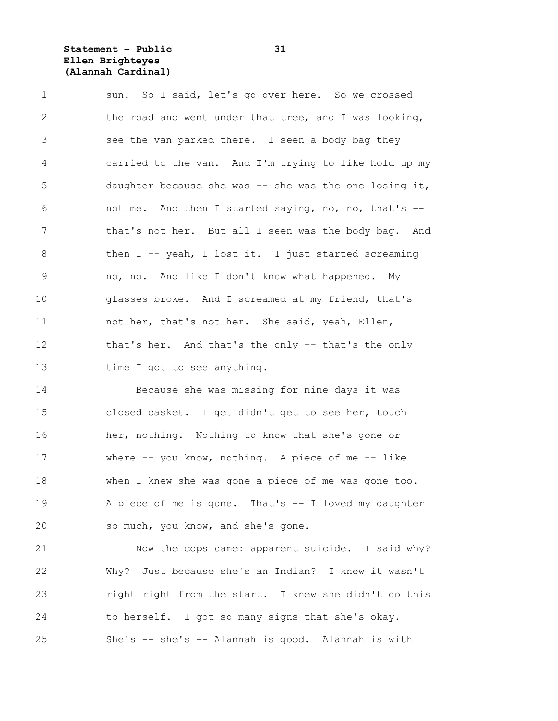**Statement – Public 31 Ellen Brighteyes (Alannah Cardinal)**

| $\mathbf 1$     | sun. So I said, let's go over here. So we crossed       |
|-----------------|---------------------------------------------------------|
| 2               | the road and went under that tree, and I was looking,   |
| 3               | see the van parked there. I seen a body bag they        |
| 4               | carried to the van. And I'm trying to like hold up my   |
| 5               | daughter because she was $-$ she was the one losing it, |
| 6               | not me. And then I started saying, no, no, that's --    |
| 7               | that's not her. But all I seen was the body bag. And    |
| 8               | then $I$ -- yeah, I lost it. I just started screaming   |
| 9               | no, no. And like I don't know what happened. My         |
| 10              | glasses broke. And I screamed at my friend, that's      |
| 11              | not her, that's not her. She said, yeah, Ellen,         |
| 12 <sup>°</sup> | that's her. And that's the only -- that's the only      |
| 13              | time I got to see anything.                             |

14 Because she was missing for nine days it was 15 closed casket. I get didn't get to see her, touch 16 her, nothing. Nothing to know that she's gone or 17 where -- you know, nothing. A piece of me -- like 18 when I knew she was gone a piece of me was gone too. 19 A piece of me is gone. That's -- I loved my daughter 20 so much, you know, and she's gone.

21 Now the cops came: apparent suicide. I said why? 22 Why? Just because she's an Indian? I knew it wasn't 23 right right from the start. I knew she didn't do this 24 to herself. I got so many signs that she's okay. 25 She's -- she's -- Alannah is good. Alannah is with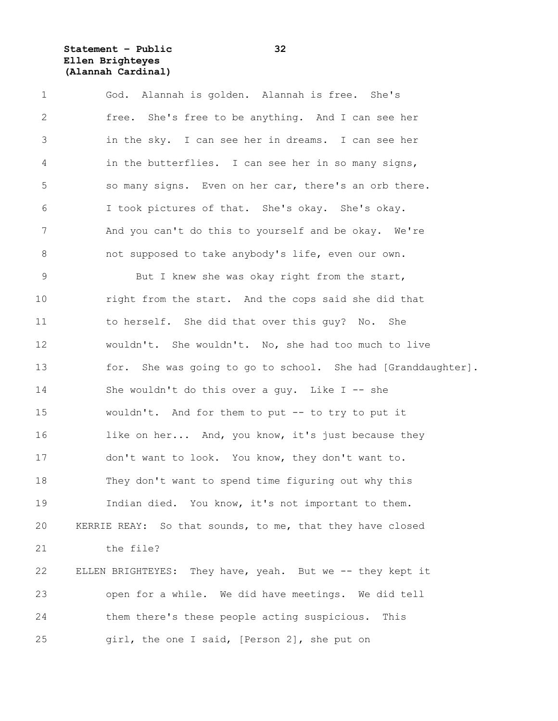**Statement – Public 32 Ellen Brighteyes (Alannah Cardinal)**

1 God. Alannah is golden. Alannah is free. She's 2 free. She's free to be anything. And I can see her 3 in the sky. I can see her in dreams. I can see her 4 in the butterflies. I can see her in so many signs, 5 so many signs. Even on her car, there's an orb there. 6 I took pictures of that. She's okay. She's okay. 7 And you can't do this to yourself and be okay. We're 8 not supposed to take anybody's life, even our own. 9 But I knew she was okay right from the start, 10 right from the start. And the cops said she did that 11 to herself. She did that over this guy? No. She 12 wouldn't. She wouldn't. No, she had too much to live 13 for. She was going to go to school. She had [Granddaughter]. 14 She wouldn't do this over a guy. Like I -- she 15 wouldn't. And for them to put -- to try to put it 16 like on her... And, you know, it's just because they 17 don't want to look. You know, they don't want to. 18 They don't want to spend time figuring out why this 19 Indian died. You know, it's not important to them. 20 KERRIE REAY: So that sounds, to me, that they have closed 21 the file? 22 ELLEN BRIGHTEYES: They have, yeah. But we -- they kept it 23 open for a while. We did have meetings. We did tell 24 them there's these people acting suspicious. This 25 girl, the one I said, [Person 2], she put on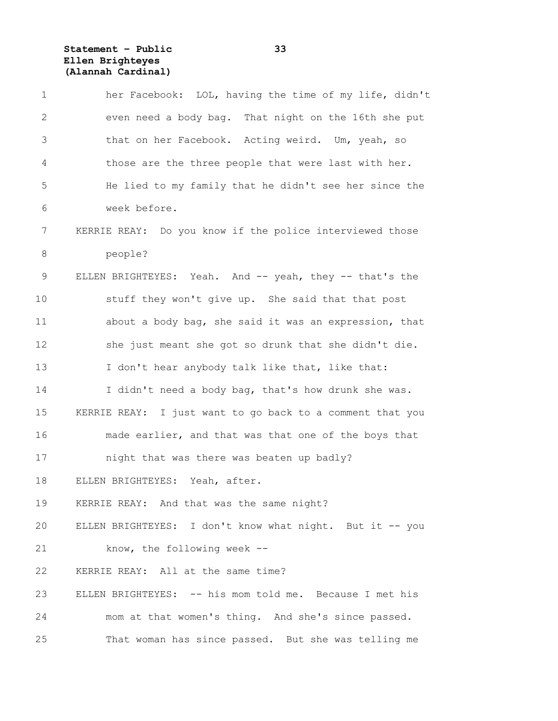**Statement – Public 33 Ellen Brighteyes (Alannah Cardinal)**

| $\mathbf 1$ | her Facebook: LOL, having the time of my life, didn't     |
|-------------|-----------------------------------------------------------|
| 2           | even need a body bag. That night on the 16th she put      |
| 3           | that on her Facebook. Acting weird. Um, yeah, so          |
| 4           | those are the three people that were last with her.       |
| 5           | He lied to my family that he didn't see her since the     |
| 6           | week before.                                              |
| 7           | KERRIE REAY: Do you know if the police interviewed those  |
| 8           | people?                                                   |
| 9           | ELLEN BRIGHTEYES: Yeah. And -- yeah, they -- that's the   |
| 10          | stuff they won't give up. She said that that post         |
| 11          | about a body bag, she said it was an expression, that     |
| 12          | she just meant she got so drunk that she didn't die.      |
| 13          | I don't hear anybody talk like that, like that:           |
| 14          | I didn't need a body bag, that's how drunk she was.       |
| 15          | KERRIE REAY: I just want to go back to a comment that you |
| 16          | made earlier, and that was that one of the boys that      |
| 17          | night that was there was beaten up badly?                 |
| 18          | ELLEN BRIGHTEYES: Yeah, after.                            |
| 19          | KERRIE REAY: And that was the same night?                 |
| 20          | ELLEN BRIGHTEYES: I don't know what night. But it -- you  |
| 21          | know, the following week --                               |
| 22          | KERRIE REAY: All at the same time?                        |
| 23          | ELLEN BRIGHTEYES: -- his mom told me. Because I met his   |
| 24          | mom at that women's thing. And she's since passed.        |
| 25          | That woman has since passed. But she was telling me       |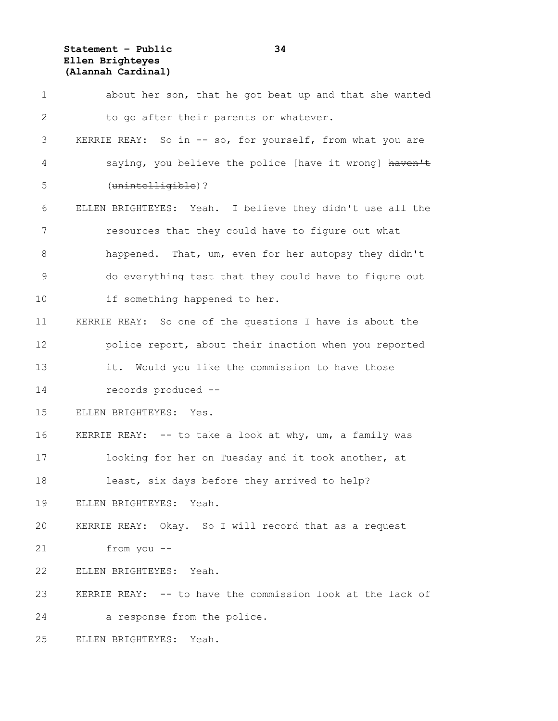**Statement – Public 34 Ellen Brighteyes (Alannah Cardinal)**

| 1            | about her son, that he got beat up and that she wanted     |
|--------------|------------------------------------------------------------|
| $\mathbf{2}$ | to go after their parents or whatever.                     |
| 3            | KERRIE REAY: So in -- so, for yourself, from what you are  |
| 4            | saying, you believe the police [have it wrong] haven't     |
| 5            | (unintelligible)?                                          |
| 6            | ELLEN BRIGHTEYES: Yeah. I believe they didn't use all the  |
| 7            | resources that they could have to figure out what          |
| $8\,$        | happened. That, um, even for her autopsy they didn't       |
| 9            | do everything test that they could have to figure out      |
| 10           | if something happened to her.                              |
| 11           | KERRIE REAY: So one of the questions I have is about the   |
| 12           | police report, about their inaction when you reported      |
| 13           | it. Would you like the commission to have those            |
| 14           | records produced --                                        |
| 15           | ELLEN BRIGHTEYES: Yes.                                     |
| 16           | KERRIE REAY: -- to take a look at why, um, a family was    |
| 17           | looking for her on Tuesday and it took another, at         |
| 18           | least, six days before they arrived to help?               |
| 19           | ELLEN BRIGHTEYES: Yeah.                                    |
| 20           | KERRIE REAY: Okay. So I will record that as a request      |
| 21           | from you --                                                |
| 22           | ELLEN BRIGHTEYES: Yeah.                                    |
| 23           | KERRIE REAY: -- to have the commission look at the lack of |
| 24           | a response from the police.                                |
| 25           | ELLEN BRIGHTEYES:<br>Yeah.                                 |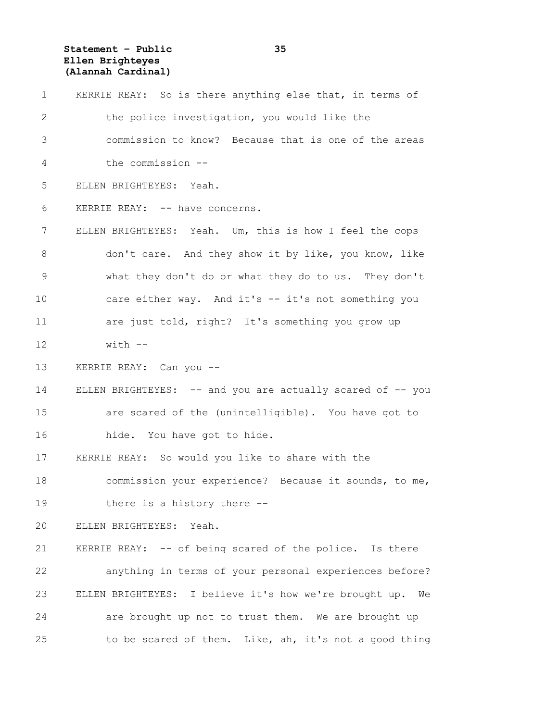**Statement – Public 35 Ellen Brighteyes (Alannah Cardinal)**

| $\mathbf 1$   | KERRIE REAY: So is there anything else that, in terms of     |
|---------------|--------------------------------------------------------------|
| 2             | the police investigation, you would like the                 |
| 3             | commission to know? Because that is one of the areas         |
| 4             | the commission --                                            |
| 5             | ELLEN BRIGHTEYES: Yeah.                                      |
| 6             | KERRIE REAY: -- have concerns.                               |
| 7             | ELLEN BRIGHTEYES: Yeah. Um, this is how I feel the cops      |
| 8             | don't care. And they show it by like, you know, like         |
| $\mathcal{G}$ | what they don't do or what they do to us. They don't         |
| 10            | care either way. And it's -- it's not something you          |
| 11            | are just told, right? It's something you grow up             |
| 12            | $with$ $-$                                                   |
| 13            | KERRIE REAY: Can you --                                      |
| 14            | ELLEN BRIGHTEYES: -- and you are actually scared of -- you   |
| 15            | are scared of the (unintelligible). You have got to          |
| 16            | hide. You have got to hide.                                  |
| 17            | KERRIE REAY: So would you like to share with the             |
| 18            | commission your experience? Because it sounds, to me,        |
| 19            | there is a history there --                                  |
| 20            | ELLEN BRIGHTEYES: Yeah.                                      |
| 21            | KERRIE REAY: -- of being scared of the police. Is there      |
| 22            | anything in terms of your personal experiences before?       |
| 23            | ELLEN BRIGHTEYES: I believe it's how we're brought up.<br>We |
| 24            | are brought up not to trust them. We are brought up          |
| 25            | to be scared of them. Like, ah, it's not a good thing        |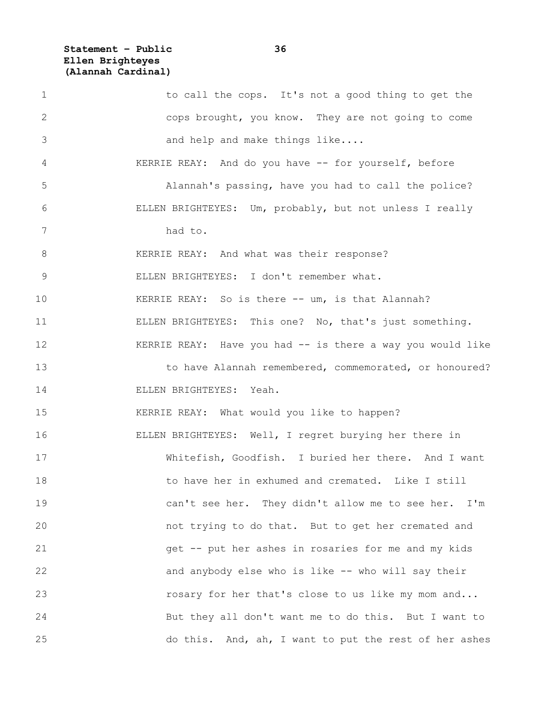**Statement – Public 36 Ellen Brighteyes (Alannah Cardinal)**

1 to call the cops. It's not a good thing to get the 2 cops brought, you know. They are not going to come 3 and help and make things like.... 4 KERRIE REAY: And do you have -- for yourself, before 5 Alannah's passing, have you had to call the police? 6 ELLEN BRIGHTEYES: Um, probably, but not unless I really 7 had to. 8 KERRIE REAY: And what was their response? 9 ELLEN BRIGHTEYES: I don't remember what. 10 KERRIE REAY: So is there -- um, is that Alannah? 11 ELLEN BRIGHTEYES: This one? No, that's just something. 12 KERRIE REAY: Have you had -- is there a way you would like 13 to have Alannah remembered, commemorated, or honoured? 14 ELLEN BRIGHTEYES: Yeah. 15 KERRIE REAY: What would you like to happen? 16 ELLEN BRIGHTEYES: Well, I regret burying her there in 17 Whitefish, Goodfish. I buried her there. And I want 18 to have her in exhumed and cremated. Like I still 19 can't see her. They didn't allow me to see her. I'm 20 not trying to do that. But to get her cremated and 21 get -- put her ashes in rosaries for me and my kids 22 and anybody else who is like -- who will say their 23 **rosary for her that's close to us like my mom and...** 24 But they all don't want me to do this. But I want to 25 do this. And, ah, I want to put the rest of her ashes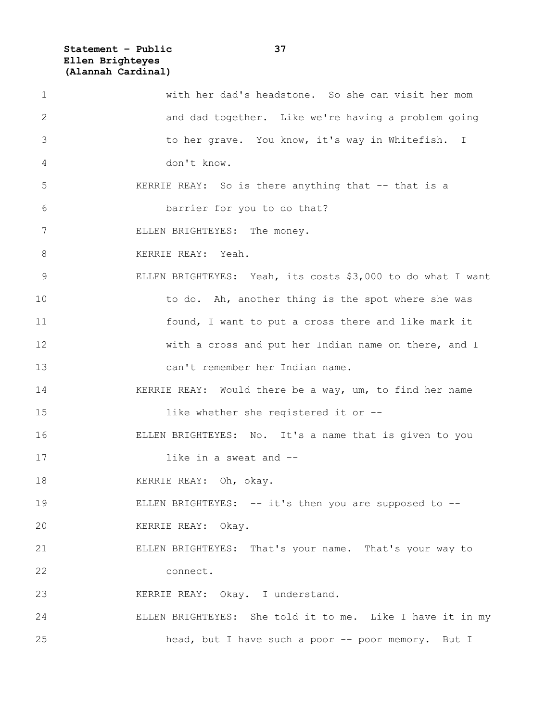**Statement – Public 37 Ellen Brighteyes (Alannah Cardinal)**

| $\mathbf 1$ | with her dad's headstone. So she can visit her mom          |
|-------------|-------------------------------------------------------------|
| 2           | and dad together. Like we're having a problem going         |
| 3           | to her grave. You know, it's way in Whitefish. I            |
| 4           | don't know.                                                 |
| 5           | KERRIE REAY: So is there anything that -- that is a         |
| 6           | barrier for you to do that?                                 |
| 7           | ELLEN BRIGHTEYES: The money.                                |
| 8           | KERRIE REAY: Yeah.                                          |
| 9           | ELLEN BRIGHTEYES: Yeah, its costs \$3,000 to do what I want |
| 10          | to do. Ah, another thing is the spot where she was          |
| 11          | found, I want to put a cross there and like mark it         |
| 12          | with a cross and put her Indian name on there, and I        |
| 13          | can't remember her Indian name.                             |
| 14          | KERRIE REAY: Would there be a way, um, to find her name     |
| 15          | like whether she registered it or --                        |
| 16          | ELLEN BRIGHTEYES: No. It's a name that is given to you      |
| 17          | like in a sweat and --                                      |
| 18          | KERRIE REAY: Oh, okay.                                      |
| 19          | ELLEN BRIGHTEYES: -- it's then you are supposed to --       |
| 20          | KERRIE REAY: Okay.                                          |
| 21          | ELLEN BRIGHTEYES: That's your name. That's your way to      |
| 22          | connect.                                                    |
| 23          | KERRIE REAY: Okay. I understand.                            |
| 24          | ELLEN BRIGHTEYES: She told it to me. Like I have it in my   |
| 25          | head, but I have such a poor -- poor memory. But I          |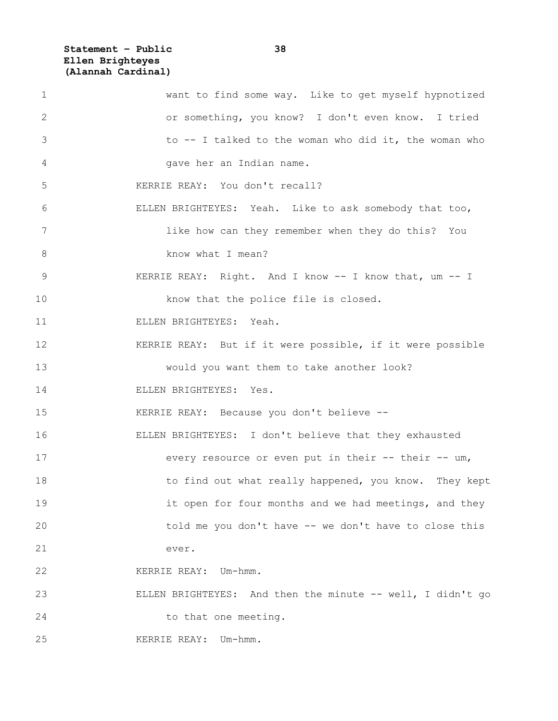**Statement – Public 38 Ellen Brighteyes (Alannah Cardinal)**

| $\mathbf 1$ | want to find some way. Like to get myself hypnotized       |
|-------------|------------------------------------------------------------|
| 2           | or something, you know? I don't even know. I tried         |
| 3           | to -- I talked to the woman who did it, the woman who      |
| 4           | gave her an Indian name.                                   |
| 5           | KERRIE REAY: You don't recall?                             |
| 6           | ELLEN BRIGHTEYES: Yeah. Like to ask somebody that too,     |
| 7           | like how can they remember when they do this? You          |
| 8           | know what I mean?                                          |
| 9           | KERRIE REAY: Right. And I know -- I know that, um -- I     |
| 10          | know that the police file is closed.                       |
| 11          | ELLEN BRIGHTEYES: Yeah.                                    |
| 12          | KERRIE REAY: But if it were possible, if it were possible  |
| 13          | would you want them to take another look?                  |
| 14          | ELLEN BRIGHTEYES: Yes.                                     |
| 15          | KERRIE REAY: Because you don't believe --                  |
| 16          | ELLEN BRIGHTEYES: I don't believe that they exhausted      |
| 17          | every resource or even put in their -- their -- um,        |
| 18          | to find out what really happened, you know. They kept      |
| 19          | it open for four months and we had meetings, and they      |
| 20          | told me you don't have -- we don't have to close this      |
| 21          | ever.                                                      |
| 22          | KERRIE REAY: Um-hmm.                                       |
| 23          | ELLEN BRIGHTEYES: And then the minute -- well, I didn't go |
| 24          | to that one meeting.                                       |
| 25          | KERRIE REAY: Um-hmm.                                       |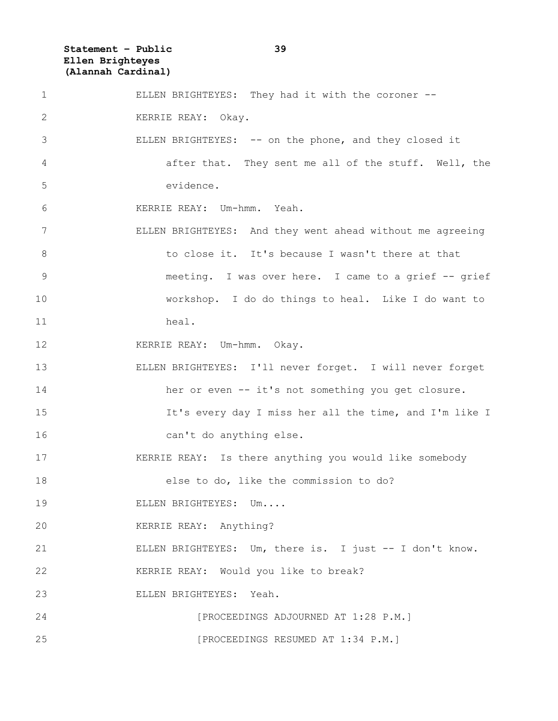**Statement – Public 39 Ellen Brighteyes (Alannah Cardinal)**

1 ELLEN BRIGHTEYES: They had it with the coroner -- 2 KERRIE REAY: Okay. 3 ELLEN BRIGHTEYES: -- on the phone, and they closed it 4 after that. They sent me all of the stuff. Well, the 5 evidence. 6 KERRIE REAY: Um-hmm. Yeah. 7 ELLEN BRIGHTEYES: And they went ahead without me agreeing 8 to close it. It's because I wasn't there at that 9 meeting. I was over here. I came to a grief -- grief 10 workshop. I do do things to heal. Like I do want to 11 heal. 12 KERRIE REAY: Um-hmm. Okay. 13 ELLEN BRIGHTEYES: I'll never forget. I will never forget 14 her or even -- it's not something you get closure. 15 15 It's every day I miss her all the time, and I'm like I 16 can't do anything else. 17 KERRIE REAY: Is there anything you would like somebody 18 else to do, like the commission to do? 19 ELLEN BRIGHTEYES: Um.... 20 KERRIE REAY: Anything? 21 ELLEN BRIGHTEYES: Um, there is. I just -- I don't know. 22 KERRIE REAY: Would you like to break? 23 ELLEN BRIGHTEYES: Yeah. 24 [PROCEEDINGS ADJOURNED AT 1:28 P.M.] 25 [PROCEEDINGS RESUMED AT 1:34 P.M.]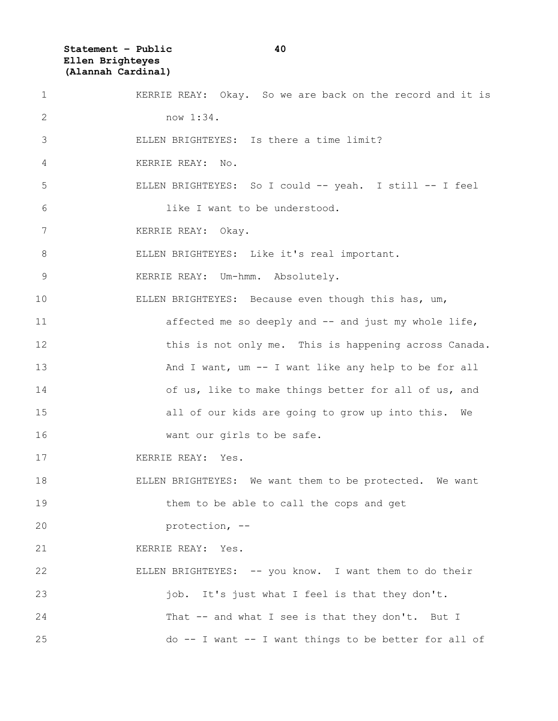**Statement – Public 40 Ellen Brighteyes (Alannah Cardinal)**

| $\mathbf 1$     | KERRIE REAY: Okay. So we are back on the record and it is |
|-----------------|-----------------------------------------------------------|
| 2               | now 1:34.                                                 |
| 3               | ELLEN BRIGHTEYES: Is there a time limit?                  |
| 4               | KERRIE REAY: No.                                          |
| 5               | ELLEN BRIGHTEYES: So I could -- yeah. I still -- I feel   |
| 6               | like I want to be understood.                             |
| $7\phantom{.0}$ | KERRIE REAY: Okay.                                        |
| 8               | ELLEN BRIGHTEYES: Like it's real important.               |
| $\overline{9}$  | KERRIE REAY: Um-hmm. Absolutely.                          |
| 10              | ELLEN BRIGHTEYES: Because even though this has, um,       |
| 11              | affected me so deeply and -- and just my whole life,      |
| 12              | this is not only me. This is happening across Canada.     |
| 13              | And I want, um -- I want like any help to be for all      |
| 14              | of us, like to make things better for all of us, and      |
| 15              | all of our kids are going to grow up into this. We        |
| 16              | want our girls to be safe.                                |
| 17              | KERRIE REAY: Yes.                                         |
| 18              | ELLEN BRIGHTEYES: We want them to be protected. We want   |
| 19              | them to be able to call the cops and get                  |
| 20              | protection, --                                            |
| 21              | KERRIE REAY: Yes.                                         |
| 22              | ELLEN BRIGHTEYES: -- you know. I want them to do their    |
| 23              | job. It's just what I feel is that they don't.            |
| 24              | That -- and what I see is that they don't. But I          |
| 25              | do -- I want -- I want things to be better for all of     |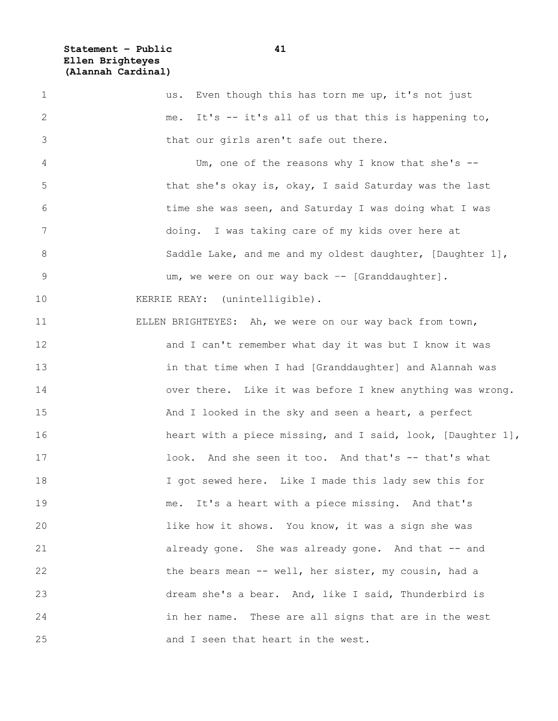**Statement – Public 41 Ellen Brighteyes (Alannah Cardinal)**

1 us. Even though this has torn me up, it's not just 2 me. It's -- it's all of us that this is happening to, 3 that our girls aren't safe out there. 4 Um, one of the reasons why I know that she's -- 5 that she's okay is, okay, I said Saturday was the last 6 time she was seen, and Saturday I was doing what I was 7 doing. I was taking care of my kids over here at 8 Saddle Lake, and me and my oldest daughter, [Daughter 1], 9 um, we were on our way back –- [Granddaughter]. 10 KERRIE REAY: (unintelligible). 11 ELLEN BRIGHTEYES: Ah, we were on our way back from town, 12 and I can't remember what day it was but I know it was 13 in that time when I had [Granddaughter] and Alannah was 14 over there. Like it was before I knew anything was wrong. 15 And I looked in the sky and seen a heart, a perfect 16 heart with a piece missing, and I said, look, [Daughter 1], 17 17 look. And she seen it too. And that's -- that's what 18 I got sewed here. Like I made this lady sew this for 19 me. It's a heart with a piece missing. And that's 20 like how it shows. You know, it was a sign she was 21 already gone. She was already gone. And that -- and 22 the bears mean -- well, her sister, my cousin, had a 23 dream she's a bear. And, like I said, Thunderbird is 24 in her name. These are all signs that are in the west 25 and I seen that heart in the west.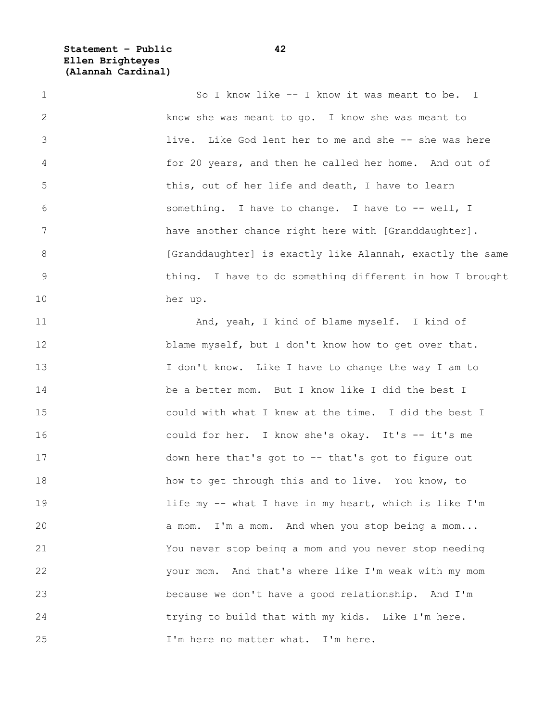**Statement – Public 42 Ellen Brighteyes (Alannah Cardinal)**

1 So I know like -- I know it was meant to be. I 2 know she was meant to go. I know she was meant to 3 live. Like God lent her to me and she -- she was here 4 for 20 years, and then he called her home. And out of 5 this, out of her life and death, I have to learn 6 something. I have to change. I have to -- well, I 7 have another chance right here with [Granddaughter]. 8 **12 [Granddaughter]** is exactly like Alannah, exactly the same 9 thing. I have to do something different in how I brought 10 her up. 11 And, yeah, I kind of blame myself. I kind of 12 blame myself, but I don't know how to get over that. 13 I don't know. Like I have to change the way I am to 14 be a better mom. But I know like I did the best I 15 could with what I knew at the time. I did the best I 16 could for her. I know she's okay. It's -- it's me 17 down here that's got to -- that's got to figure out 18 how to get through this and to live. You know, to 19 19 11fe my -- what I have in my heart, which is like I'm 20 a mom. I'm a mom. And when you stop being a mom... 21 You never stop being a mom and you never stop needing 22 your mom. And that's where like I'm weak with my mom 23 because we don't have a good relationship. And I'm 24 trying to build that with my kids. Like I'm here. 25 I'm here no matter what. I'm here.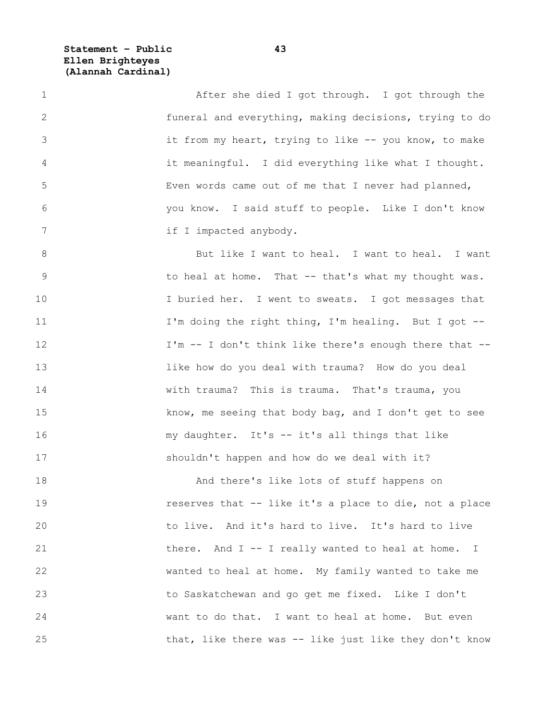**Statement – Public 43 Ellen Brighteyes (Alannah Cardinal)**

1 After she died I got through. I got through the 2 funeral and everything, making decisions, trying to do 3 it from my heart, trying to like -- you know, to make 4 it meaningful. I did everything like what I thought. 5 Even words came out of me that I never had planned, 6 you know. I said stuff to people. Like I don't know 7 if I impacted anybody.

8 But like I want to heal. I want to heal. I want 9 to heal at home. That -- that's what my thought was. 10 I buried her. I went to sweats. I got messages that 11 I'm doing the right thing, I'm healing. But I got --12 I'm -- I don't think like there's enough there that --13 like how do you deal with trauma? How do you deal 14 with trauma? This is trauma. That's trauma, you 15 know, me seeing that body bag, and I don't get to see 16 my daughter. It's -- it's all things that like 17 shouldn't happen and how do we deal with it?

18 And there's like lots of stuff happens on 19 **19 reserves that -- like it's a place to die, not a place** 20 to live. And it's hard to live. It's hard to live 21 there. And I -- I really wanted to heal at home. I 22 wanted to heal at home. My family wanted to take me 23 to Saskatchewan and go get me fixed. Like I don't 24 want to do that. I want to heal at home. But even 25 that, like there was -- like just like they don't know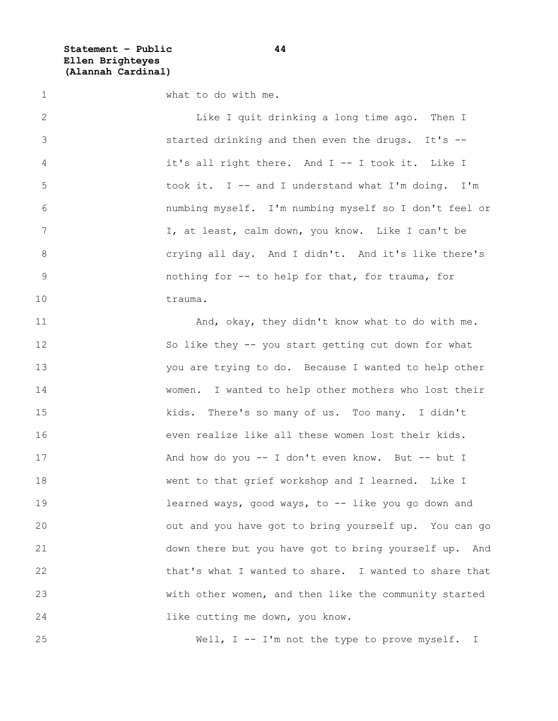**Statement – Public 44 Ellen Brighteyes (Alannah Cardinal)**

1 what to do with me. 2 Like I quit drinking a long time ago. Then I 3 started drinking and then even the drugs. It's -- 4 it's all right there. And I -- I took it. Like I 5 took it. I -- and I understand what I'm doing. I'm 6 numbing myself. I'm numbing myself so I don't feel or 7 1, at least, calm down, you know. Like I can't be 8 crying all day. And I didn't. And it's like there's 9 nothing for -- to help for that, for trauma, for 10 trauma. 11 And, okay, they didn't know what to do with me. 12 So like they -- you start getting cut down for what 13 you are trying to do. Because I wanted to help other 14 women. I wanted to help other mothers who lost their 15 kids. There's so many of us. Too many. I didn't 16 even realize like all these women lost their kids. 17 And how do you -- I don't even know. But -- but I 18 went to that grief workshop and I learned. Like I 19 **19** learned ways, good ways, to -- like you go down and 20 out and you have got to bring yourself up. You can go 21 down there but you have got to bring yourself up. And 22 that's what I wanted to share. I wanted to share that 23 with other women, and then like the community started 24 like cutting me down, you know.

25 Well, I -- I'm not the type to prove myself. I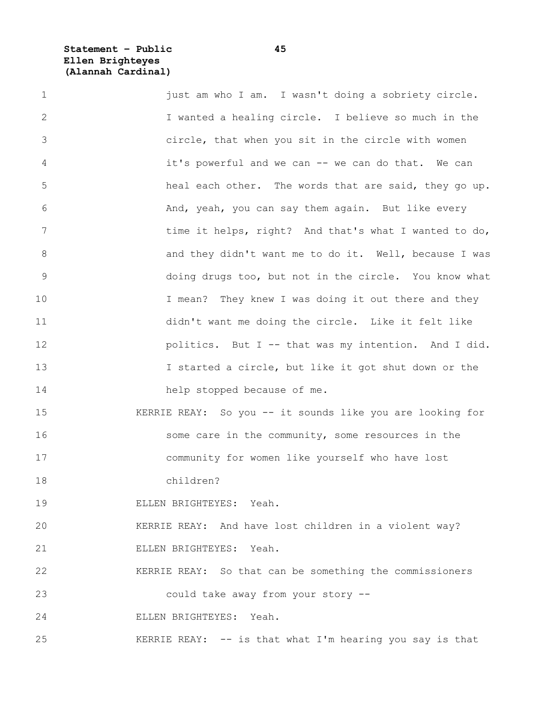**Statement – Public 45 Ellen Brighteyes (Alannah Cardinal)**

| $\mathbf 1$ | just am who I am. I wasn't doing a sobriety circle.       |
|-------------|-----------------------------------------------------------|
| 2           | I wanted a healing circle. I believe so much in the       |
| 3           | circle, that when you sit in the circle with women        |
| 4           | it's powerful and we can -- we can do that. We can        |
| 5           | heal each other. The words that are said, they go up.     |
| $6\,$       | And, yeah, you can say them again. But like every         |
| 7           | time it helps, right? And that's what I wanted to do,     |
| $8\,$       | and they didn't want me to do it. Well, because I was     |
| 9           | doing drugs too, but not in the circle. You know what     |
| 10          | I mean? They knew I was doing it out there and they       |
| 11          | didn't want me doing the circle. Like it felt like        |
| 12          | politics. But I -- that was my intention. And I did.      |
| 13          | I started a circle, but like it got shut down or the      |
| 14          | help stopped because of me.                               |
| 15          | KERRIE REAY: So you -- it sounds like you are looking for |
| 16          | some care in the community, some resources in the         |
| 17          | community for women like yourself who have lost           |
| 18          | children?                                                 |
| 19          | ELLEN BRIGHTEYES: Yeah.                                   |
| 20          | KERRIE REAY: And have lost children in a violent way?     |
| 21          | ELLEN BRIGHTEYES: Yeah.                                   |
| 22          | KERRIE REAY: So that can be something the commissioners   |
| 23          | could take away from your story --                        |
| 24          | ELLEN BRIGHTEYES: Yeah.                                   |
| 25          | KERRIE REAY: -- is that what I'm hearing you say is that  |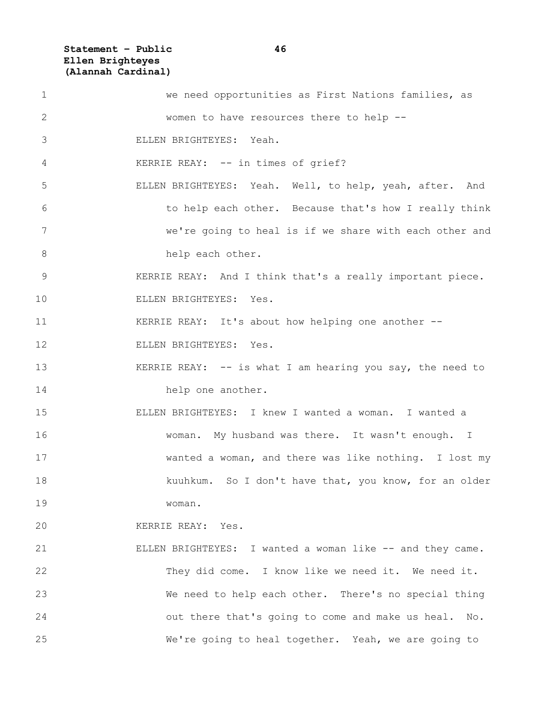**Statement – Public 46 Ellen Brighteyes (Alannah Cardinal)**

| $\mathbf 1$ | we need opportunities as First Nations families, as         |
|-------------|-------------------------------------------------------------|
| 2           | women to have resources there to help --                    |
| 3           | ELLEN BRIGHTEYES: Yeah.                                     |
| 4           | KERRIE REAY: -- in times of grief?                          |
| 5           | ELLEN BRIGHTEYES: Yeah. Well, to help, yeah, after. And     |
| 6           | to help each other. Because that's how I really think       |
| 7           | we're going to heal is if we share with each other and      |
| 8           | help each other.                                            |
| 9           | KERRIE REAY: And I think that's a really important piece.   |
| 10          | ELLEN BRIGHTEYES: Yes.                                      |
| 11          | KERRIE REAY: It's about how helping one another --          |
| 12          | ELLEN BRIGHTEYES: Yes.                                      |
| 13          | KERRIE REAY: $--$ is what I am hearing you say, the need to |
| 14          | help one another.                                           |
| 15          | ELLEN BRIGHTEYES: I knew I wanted a woman. I wanted a       |
| 16          | woman. My husband was there. It wasn't enough. I            |
| 17          | wanted a woman, and there was like nothing. I lost my       |
| 18          | kuuhkum. So I don't have that, you know, for an older       |
| 19          | woman.                                                      |
| 20          | KERRIE REAY: Yes.                                           |
| 21          | ELLEN BRIGHTEYES: I wanted a woman like -- and they came.   |
| 22          | They did come. I know like we need it. We need it.          |
| 23          | We need to help each other. There's no special thing        |
| 24          | out there that's going to come and make us heal. No.        |
| 25          | We're going to heal together. Yeah, we are going to         |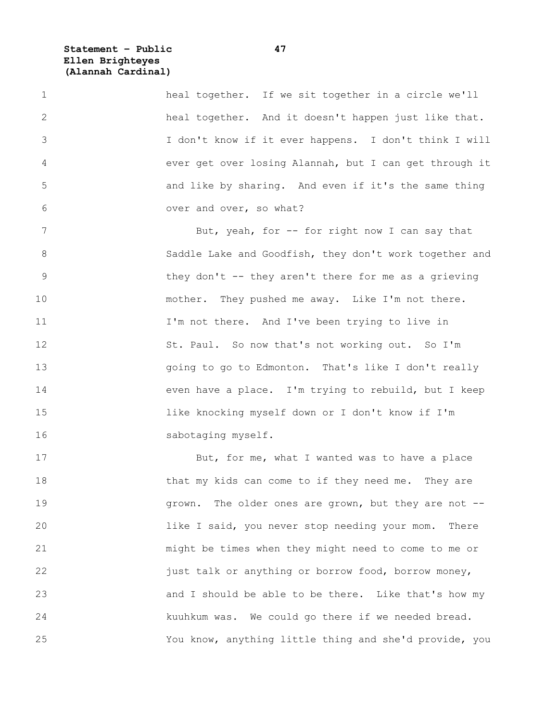**Statement – Public 47 Ellen Brighteyes (Alannah Cardinal)**

1 heal together. If we sit together in a circle we'll 2 heal together. And it doesn't happen just like that. 3 I don't know if it ever happens. I don't think I will 4 ever get over losing Alannah, but I can get through it 5 and like by sharing. And even if it's the same thing 6 over and over, so what?

7 But, yeah, for -- for right now I can say that 8 Saddle Lake and Goodfish, they don't work together and 9 they don't -- they aren't there for me as a grieving 10 mother. They pushed me away. Like I'm not there. 11 I'm not there. And I've been trying to live in 12 St. Paul. So now that's not working out. So I'm 13 going to go to Edmonton. That's like I don't really 14 even have a place. I'm trying to rebuild, but I keep 15 like knocking myself down or I don't know if I'm 16 sabotaging myself.

17 But, for me, what I wanted was to have a place 18 that my kids can come to if they need me. They are 19 **19** grown. The older ones are grown, but they are not --20 like I said, you never stop needing your mom. There 21 might be times when they might need to come to me or 22 just talk or anything or borrow food, borrow money, 23 **b** and I should be able to be there. Like that's how my 24 kuuhkum was. We could go there if we needed bread. 25 You know, anything little thing and she'd provide, you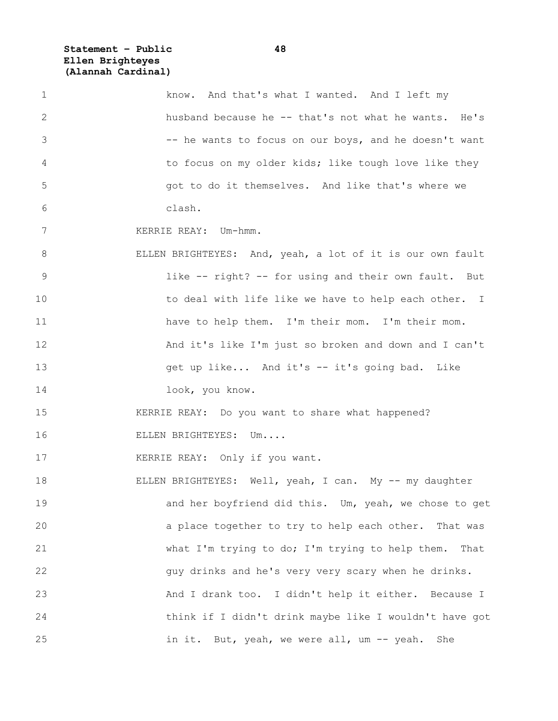**Statement – Public 48 Ellen Brighteyes (Alannah Cardinal)**

| 1              | know. And that's what I wanted. And I left my             |
|----------------|-----------------------------------------------------------|
| $\mathbf{2}$   | husband because he -- that's not what he wants. He's      |
| 3              | -- he wants to focus on our boys, and he doesn't want     |
| 4              | to focus on my older kids; like tough love like they      |
| 5              | got to do it themselves. And like that's where we         |
| 6              | clash.                                                    |
| 7              | KERRIE REAY: Um-hmm.                                      |
| 8              | ELLEN BRIGHTEYES: And, yeah, a lot of it is our own fault |
| $\overline{9}$ | like -- right? -- for using and their own fault. But      |
| 10             | to deal with life like we have to help each other. I      |
| 11             | have to help them. I'm their mom. I'm their mom.          |
| 12             | And it's like I'm just so broken and down and I can't     |
| 13             | get up like And it's -- it's going bad. Like              |
| 14             | look, you know.                                           |
| 15             | KERRIE REAY: Do you want to share what happened?          |
| 16             | ELLEN BRIGHTEYES: Um                                      |
| 17             | KERRIE REAY: Only if you want.                            |
| 18             | ELLEN BRIGHTEYES: Well, yeah, I can. My -- my daughter    |
| 19             | and her boyfriend did this. Um, yeah, we chose to get     |
| 20             | a place together to try to help each other. That was      |
| 21             | what I'm trying to do; I'm trying to help them.<br>That   |
| 22             | guy drinks and he's very very scary when he drinks.       |
| 23             | And I drank too. I didn't help it either. Because I       |
| 24             | think if I didn't drink maybe like I wouldn't have got    |
| 25             | in it. But, yeah, we were all, um -- yeah. She            |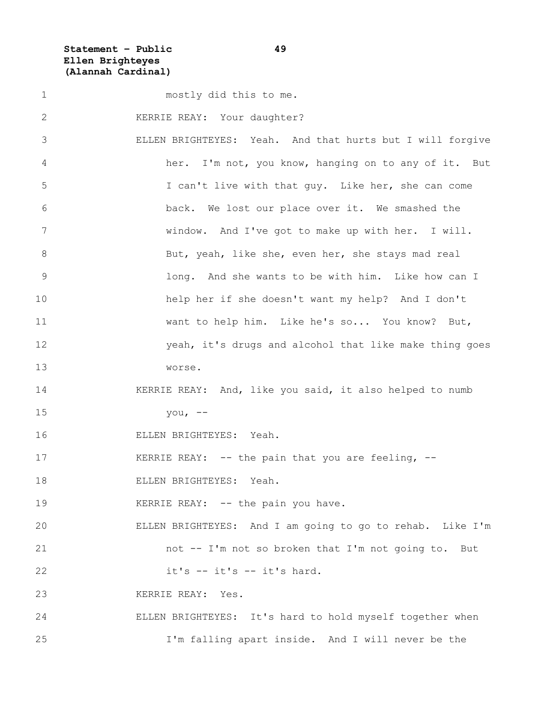**Statement – Public 49 Ellen Brighteyes (Alannah Cardinal)**

1 mostly did this to me. 2 KERRIE REAY: Your daughter? 3 ELLEN BRIGHTEYES: Yeah. And that hurts but I will forgive 4 her. I'm not, you know, hanging on to any of it. But 5 I can't live with that guy. Like her, she can come 6 back. We lost our place over it. We smashed the 7 window. And I've got to make up with her. I will. 8 But, yeah, like she, even her, she stays mad real 9 long. And she wants to be with him. Like how can I 10 help her if she doesn't want my help? And I don't 11 want to help him. Like he's so... You know? But, 12 yeah, it's drugs and alcohol that like make thing goes 13 worse. 14 KERRIE REAY: And, like you said, it also helped to numb 15 you, -- 16 ELLEN BRIGHTEYES: Yeah. 17 KERRIE REAY: -- the pain that you are feeling, --18 ELLEN BRIGHTEYES: Yeah. 19 KERRIE REAY: -- the pain you have. 20 ELLEN BRIGHTEYES: And I am going to go to rehab. Like I'm 21 not -- I'm not so broken that I'm not going to. But 22 it's -- it's -- it's hard. 23 KERRIE REAY: Yes. 24 ELLEN BRIGHTEYES: It's hard to hold myself together when 25 I'm falling apart inside. And I will never be the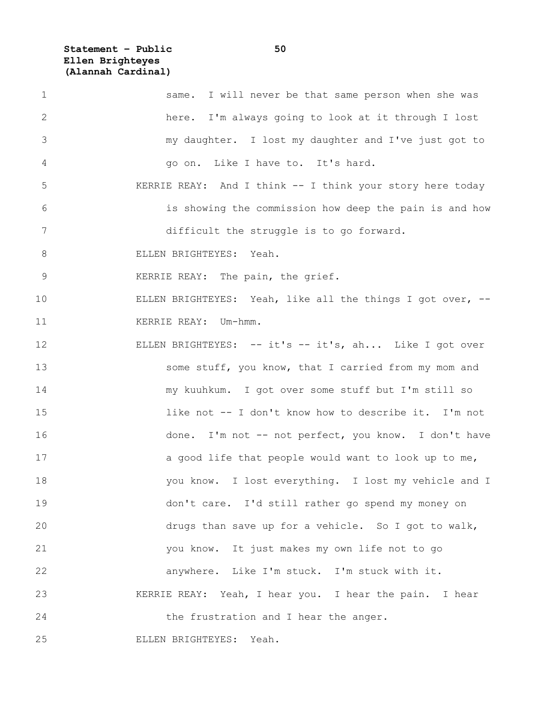**Statement – Public 50 Ellen Brighteyes (Alannah Cardinal)**

| $\mathbf 1$ | same. I will never be that same person when she was        |
|-------------|------------------------------------------------------------|
| 2           | here. I'm always going to look at it through I lost        |
| 3           | my daughter. I lost my daughter and I've just got to       |
| 4           | go on. Like I have to. It's hard.                          |
| 5           | KERRIE REAY: And I think -- I think your story here today  |
| 6           | is showing the commission how deep the pain is and how     |
| 7           | difficult the struggle is to go forward.                   |
| 8           | ELLEN BRIGHTEYES: Yeah.                                    |
| $\mathsf 9$ | KERRIE REAY: The pain, the grief.                          |
| 10          | ELLEN BRIGHTEYES: Yeah, like all the things I got over, -- |
| 11          | KERRIE REAY: Um-hmm.                                       |
| 12          | ELLEN BRIGHTEYES: -- it's -- it's, ah Like I got over      |
| 13          | some stuff, you know, that I carried from my mom and       |
| 14          | my kuuhkum. I got over some stuff but I'm still so         |
| 15          | like not -- I don't know how to describe it. I'm not       |
| 16          | done. I'm not -- not perfect, you know. I don't have       |
| 17          | a good life that people would want to look up to me,       |
| 18          | you know. I lost everything. I lost my vehicle and I       |
| 19          | don't care. I'd still rather go spend my money on          |
| 20          | drugs than save up for a vehicle. So I got to walk,        |
| 21          | you know. It just makes my own life not to go              |
| 22          | anywhere. Like I'm stuck. I'm stuck with it.               |
| 23          | KERRIE REAY: Yeah, I hear you. I hear the pain. I hear     |
| 24          | the frustration and I hear the anger.                      |
| 25          | ELLEN BRIGHTEYES: Yeah.                                    |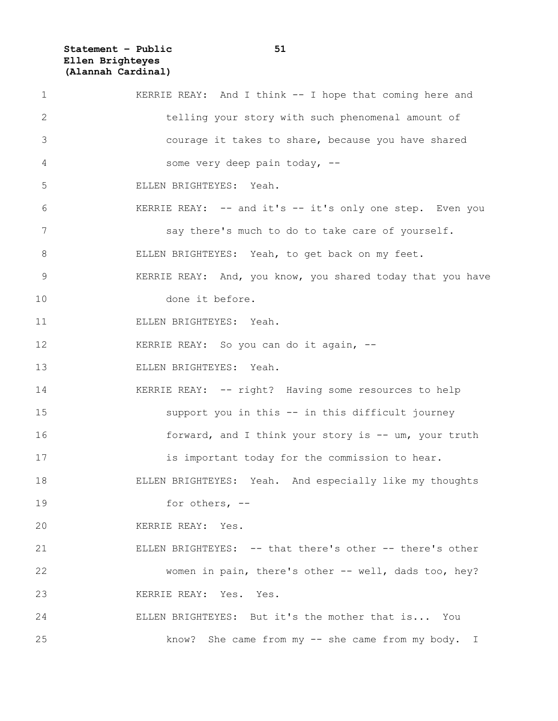**Statement – Public 51 Ellen Brighteyes (Alannah Cardinal)**

| 1            | KERRIE REAY: And I think -- I hope that coming here and    |
|--------------|------------------------------------------------------------|
| $\mathbf{2}$ | telling your story with such phenomenal amount of          |
| 3            | courage it takes to share, because you have shared         |
| 4            | some very deep pain today, --                              |
| 5            | ELLEN BRIGHTEYES: Yeah.                                    |
| 6            | KERRIE REAY: -- and it's -- it's only one step. Even you   |
| 7            | say there's much to do to take care of yourself.           |
| 8            | ELLEN BRIGHTEYES: Yeah, to get back on my feet.            |
| 9            | KERRIE REAY: And, you know, you shared today that you have |
| 10           | done it before.                                            |
| 11           | ELLEN BRIGHTEYES: Yeah.                                    |
| 12           | KERRIE REAY: So you can do it again, --                    |
| 13           | ELLEN BRIGHTEYES: Yeah.                                    |
| 14           | KERRIE REAY: -- right? Having some resources to help       |
| 15           | support you in this -- in this difficult journey           |
| 16           | forward, and I think your story is -- um, your truth       |
| 17           | is important today for the commission to hear.             |
| 18           | ELLEN BRIGHTEYES: Yeah. And especially like my thoughts    |
| 19           | for others, $--$                                           |
| 20           | KERRIE REAY: Yes.                                          |
| 21           | ELLEN BRIGHTEYES: -- that there's other -- there's other   |
| 22           | women in pain, there's other -- well, dads too, hey?       |
| 23           | KERRIE REAY: Yes. Yes.                                     |
| 24           | ELLEN BRIGHTEYES: But it's the mother that is You          |
| 25           | know? She came from my -- she came from my body. I         |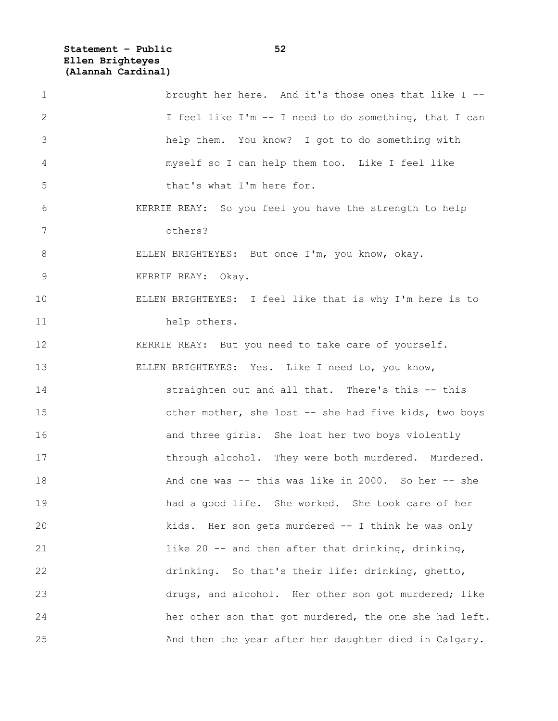**Statement – Public 52 Ellen Brighteyes (Alannah Cardinal)**

| $\mathbf 1$    | brought her here. And it's those ones that like I --     |
|----------------|----------------------------------------------------------|
| 2              | I feel like I'm -- I need to do something, that I can    |
| 3              | help them. You know? I got to do something with          |
| 4              | myself so I can help them too. Like I feel like          |
| 5              | that's what I'm here for.                                |
| 6              | KERRIE REAY: So you feel you have the strength to help   |
| 7              | others?                                                  |
| 8              | ELLEN BRIGHTEYES: But once I'm, you know, okay.          |
| $\overline{9}$ | KERRIE REAY: Okay.                                       |
| 10             | ELLEN BRIGHTEYES: I feel like that is why I'm here is to |
| 11             | help others.                                             |
| 12             | KERRIE REAY: But you need to take care of yourself.      |
| 13             | ELLEN BRIGHTEYES: Yes. Like I need to, you know,         |
| 14             | straighten out and all that. There's this -- this        |
| 15             | other mother, she lost -- she had five kids, two boys    |
| 16             | and three girls. She lost her two boys violently         |
| 17             | through alcohol. They were both murdered. Murdered.      |
| 18             | And one was -- this was like in 2000. So her -- she      |
| 19             | had a good life. She worked. She took care of her        |
| 20             | kids. Her son gets murdered -- I think he was only       |
| 21             | like 20 -- and then after that drinking, drinking,       |
| 22             | drinking. So that's their life: drinking, ghetto,        |
| 23             | drugs, and alcohol. Her other son got murdered; like     |
| 24             | her other son that got murdered, the one she had left.   |
| 25             | And then the year after her daughter died in Calgary.    |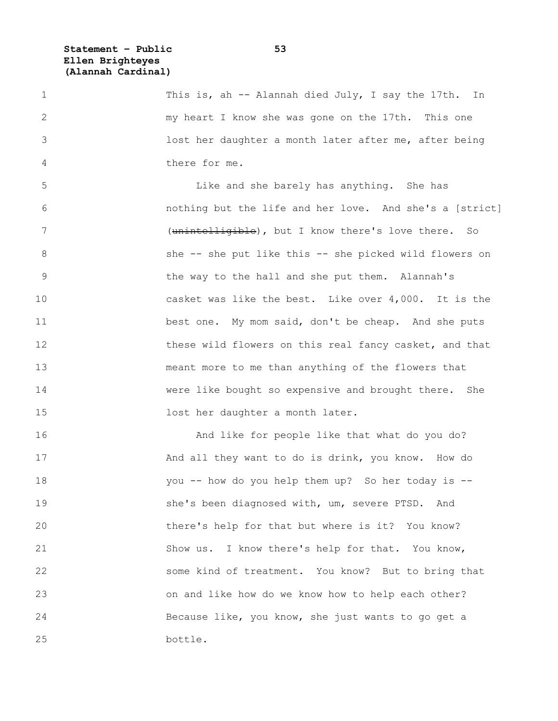**Statement – Public 53 Ellen Brighteyes (Alannah Cardinal)**

1 This is, ah -- Alannah died July, I say the 17th. In 2 my heart I know she was gone on the 17th. This one 3 lost her daughter a month later after me, after being 4 there for me. 5 Like and she barely has anything. She has 6 nothing but the life and her love. And she's a [strict] 7 (<del>unintelligible</del>), but I know there's love there. So 8 She -- she put like this -- she picked wild flowers on 9 the way to the hall and she put them. Alannah's 10 casket was like the best. Like over 4,000. It is the 11 best one. My mom said, don't be cheap. And she puts 12 these wild flowers on this real fancy casket, and that 13 meant more to me than anything of the flowers that 14 were like bought so expensive and brought there. She 15 lost her daughter a month later. 16 And like for people like that what do you do? 17 And all they want to do is drink, you know. How do 18 you -- how do you help them up? So her today is -- 19 she's been diagnosed with, um, severe PTSD. And 20 there's help for that but where is it? You know? 21 Show us. I know there's help for that. You know,

22 some kind of treatment. You know? But to bring that 23 on and like how do we know how to help each other? 24 Because like, you know, she just wants to go get a 25 bottle.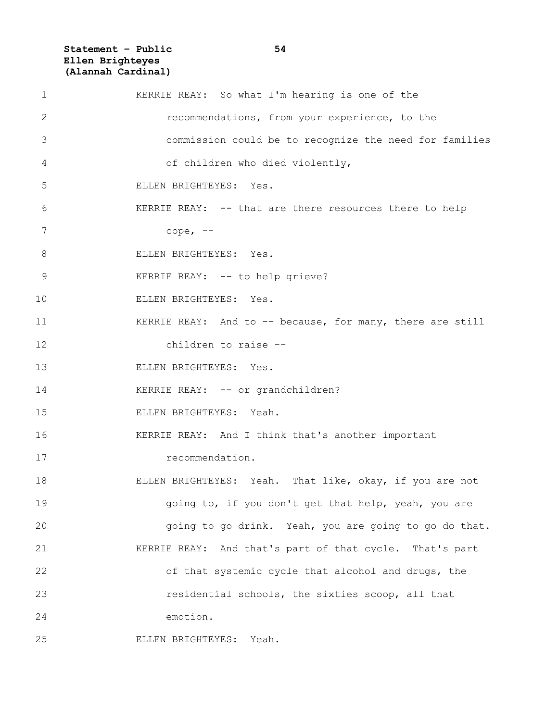**Statement – Public 54 Ellen Brighteyes (Alannah Cardinal)**

| 1  | KERRIE REAY: So what I'm hearing is one of the            |
|----|-----------------------------------------------------------|
| 2  | recommendations, from your experience, to the             |
| 3  | commission could be to recognize the need for families    |
| 4  | of children who died violently,                           |
| 5  | ELLEN BRIGHTEYES: Yes.                                    |
| 6  | KERRIE REAY: -- that are there resources there to help    |
| 7  | cope, $--$                                                |
| 8  | ELLEN BRIGHTEYES: Yes.                                    |
| 9  | KERRIE REAY: -- to help grieve?                           |
| 10 | ELLEN BRIGHTEYES: Yes.                                    |
| 11 | KERRIE REAY: And to -- because, for many, there are still |
| 12 | children to raise --                                      |
| 13 | ELLEN BRIGHTEYES: Yes.                                    |
| 14 | KERRIE REAY: -- or grandchildren?                         |
| 15 | ELLEN BRIGHTEYES: Yeah.                                   |
| 16 | KERRIE REAY: And I think that's another important         |
| 17 | recommendation.                                           |
| 18 | ELLEN BRIGHTEYES: Yeah. That like, okay, if you are not   |
| 19 | going to, if you don't get that help, yeah, you are       |
| 20 | going to go drink. Yeah, you are going to go do that.     |
| 21 | KERRIE REAY: And that's part of that cycle. That's part   |
| 22 | of that systemic cycle that alcohol and drugs, the        |
| 23 | residential schools, the sixties scoop, all that          |
| 24 | emotion.                                                  |
| 25 | ELLEN BRIGHTEYES: Yeah.                                   |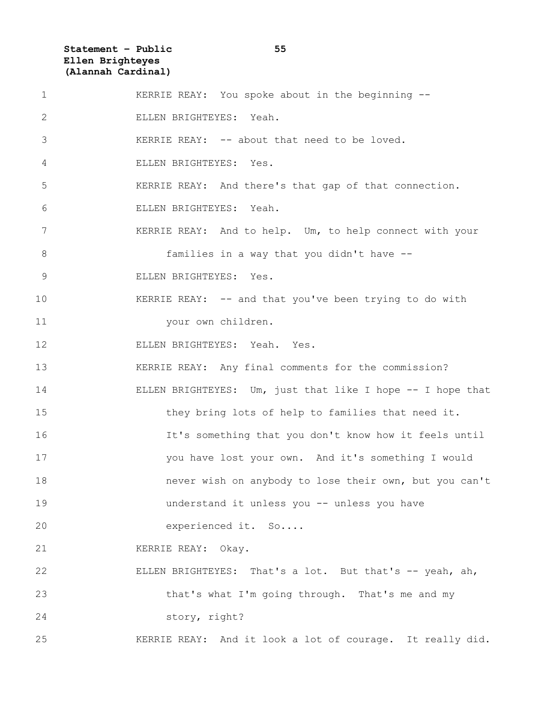**Statement – Public 55 Ellen Brighteyes (Alannah Cardinal)**

| $\mathbf 1$    | KERRIE REAY: You spoke about in the beginning --           |
|----------------|------------------------------------------------------------|
| 2              | ELLEN BRIGHTEYES: Yeah.                                    |
| 3              | KERRIE REAY: -- about that need to be loved.               |
| 4              | ELLEN BRIGHTEYES: Yes.                                     |
| 5              | KERRIE REAY: And there's that gap of that connection.      |
| 6              | ELLEN BRIGHTEYES: Yeah.                                    |
| 7              | KERRIE REAY: And to help. Um, to help connect with your    |
| 8              | families in a way that you didn't have --                  |
| $\overline{9}$ | ELLEN BRIGHTEYES: Yes.                                     |
| 10             | KERRIE REAY: -- and that you've been trying to do with     |
| 11             | your own children.                                         |
| 12             | ELLEN BRIGHTEYES: Yeah. Yes.                               |
| 13             | KERRIE REAY: Any final comments for the commission?        |
| 14             | ELLEN BRIGHTEYES: Um, just that like I hope -- I hope that |
| 15             | they bring lots of help to families that need it.          |
| 16             | It's something that you don't know how it feels until      |
| 17             | you have lost your own. And it's something I would         |
| 18             | never wish on anybody to lose their own, but you can't     |
| 19             | understand it unless you -- unless you have                |
| 20             | experienced it. So                                         |
| 21             | KERRIE REAY: Okay.                                         |
| 22             | ELLEN BRIGHTEYES: That's a lot. But that's -- yeah, ah,    |
| 23             | that's what I'm going through. That's me and my            |
| 24             | story, right?                                              |
| 25             | KERRIE REAY: And it look a lot of courage. It really did.  |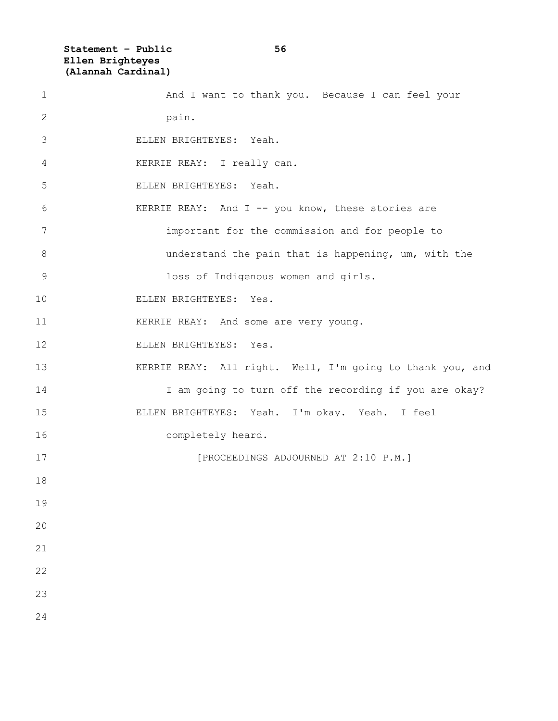**Statement – Public 56 Ellen Brighteyes (Alannah Cardinal)**

| $\mathbf 1$  | And I want to thank you. Because I can feel your          |
|--------------|-----------------------------------------------------------|
| $\mathbf{2}$ | pain.                                                     |
| 3            | ELLEN BRIGHTEYES: Yeah.                                   |
| 4            | KERRIE REAY: I really can.                                |
| 5            | ELLEN BRIGHTEYES: Yeah.                                   |
| 6            | KERRIE REAY: And I -- you know, these stories are         |
| 7            | important for the commission and for people to            |
| $8\,$        | understand the pain that is happening, um, with the       |
| $\mathsf 9$  | loss of Indigenous women and girls.                       |
| 10           | ELLEN BRIGHTEYES: Yes.                                    |
| 11           | KERRIE REAY: And some are very young.                     |
| 12           | ELLEN BRIGHTEYES: Yes.                                    |
| 13           | KERRIE REAY: All right. Well, I'm going to thank you, and |
| 14           | I am going to turn off the recording if you are okay?     |
| 15           | ELLEN BRIGHTEYES: Yeah. I'm okay. Yeah. I feel            |
| 16           | completely heard.                                         |
| 17           | [PROCEEDINGS ADJOURNED AT 2:10 P.M.]                      |
| 18           |                                                           |
| 19           |                                                           |
| 20           |                                                           |
| 21           |                                                           |
| 22           |                                                           |
| 23           |                                                           |
| 24           |                                                           |